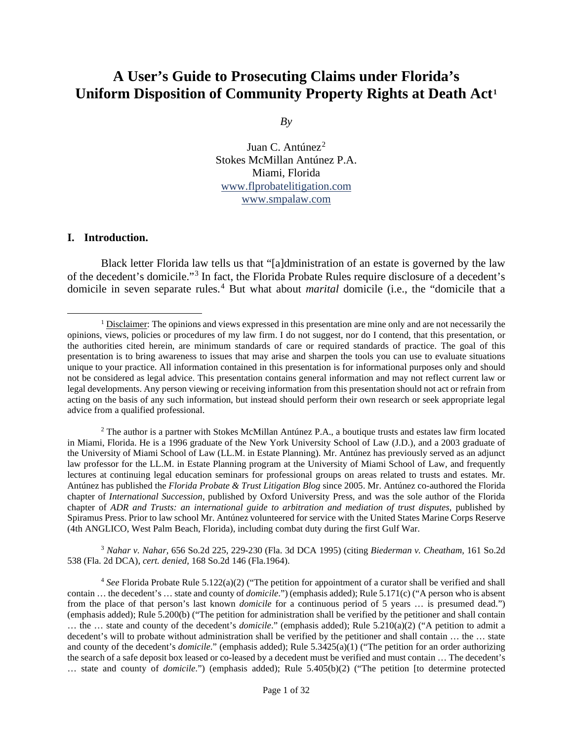# **A User's Guide to Prosecuting Claims under Florida's Uniform Disposition of Community Property Rights at Death Act[1](#page-0-0)**

*By*

Juan C. Antúnez<sup>[2](#page-0-1)</sup> Stokes McMillan Antúnez P.A. Miami, Florida [www.flprobatelitigation.com](http://www.flprobatelitigation.com/) [www.smpalaw.com](http://www.smpalaw.com/)

#### **I. Introduction.**

Black letter Florida law tells us that "[a]dministration of an estate is governed by the law of the decedent's domicile."[3](#page-0-2) In fact, the Florida Probate Rules require disclosure of a decedent's domicile in seven separate rules. [4](#page-0-3) But what about *marital* domicile (i.e., the "domicile that a

<span id="page-0-1"></span><sup>2</sup> The author is a partner with Stokes McMillan Antúnez P.A., a boutique trusts and estates law firm located in Miami, Florida. He is a 1996 graduate of the New York University School of Law (J.D.), and a 2003 graduate of the University of Miami School of Law (LL.M. in Estate Planning). Mr. Antúnez has previously served as an adjunct law professor for the LL.M. in Estate Planning program at the University of Miami School of Law, and frequently lectures at continuing legal education seminars for professional groups on areas related to trusts and estates. Mr. Antúnez has published the *Florida Probate & Trust Litigation Blog* since 2005. Mr. Antúnez co-authored the Florida chapter of *International Succession*, published by Oxford University Press, and was the sole author of the Florida chapter of *ADR and Trusts: an international guide to arbitration and mediation of trust disputes*, published by Spiramus Press. Prior to law school Mr. Antúnez volunteered for service with the United States Marine Corps Reserve (4th ANGLICO, West Palm Beach, Florida), including combat duty during the first Gulf War.

<span id="page-0-2"></span><sup>3</sup> *Nahar v. Nahar,* 656 So.2d 225, 229-230 (Fla. 3d DCA 1995) (citing *Biederman v. Cheatham,* 161 So.2d 538 (Fla. 2d DCA), *cert. denied,* [168 So.2d 146 \(Fla.1964\).](https://1.next.westlaw.com/Link/Document/FullText?findType=Y&serNum=1964201381&pubNum=0000735&originatingDoc=Id9998b530e6311d9bde8ee3d49ead4ec&refType=RP&originationContext=document&transitionType=DocumentItem&contextData=(sc.DocLink))

<span id="page-0-3"></span><sup>4</sup> *See* Florida Probate Rule 5.122(a)(2) ("The petition for appointment of a curator shall be verified and shall contain … the decedent's … state and county of *domicile*.") (emphasis added); Rule 5.171(c) ("A person who is absent from the place of that person's last known *domicile* for a continuous period of 5 years … is presumed dead.") (emphasis added); Rule 5.200(b) ("The petition for administration shall be verified by the petitioner and shall contain … the … state and county of the decedent's *domicile*." (emphasis added); Rule 5.210(a)(2) ("A petition to admit a decedent's will to probate without administration shall be verified by the petitioner and shall contain … the … state and county of the decedent's *domicile*." (emphasis added); Rule 5.3425(a)(1) ("The petition for an order authorizing the search of a safe deposit box leased or co-leased by a decedent must be verified and must contain … The decedent's … state and county of *domicile*.") (emphasis added); Rule 5.405(b)(2) ("The petition [to determine protected

<span id="page-0-0"></span><sup>&</sup>lt;sup>1</sup> Disclaimer: The opinions and views expressed in this presentation are mine only and are not necessarily the opinions, views, policies or procedures of my law firm. I do not suggest, nor do I contend, that this presentation, or the authorities cited herein, are minimum standards of care or required standards of practice. The goal of this presentation is to bring awareness to issues that may arise and sharpen the tools you can use to evaluate situations unique to your practice. All information contained in this presentation is for informational purposes only and should not be considered as legal advice. This presentation contains general information and may not reflect current law or legal developments. Any person viewing or receiving information from this presentation should not act or refrain from acting on the basis of any such information, but instead should perform their own research or seek appropriate legal advice from a qualified professional.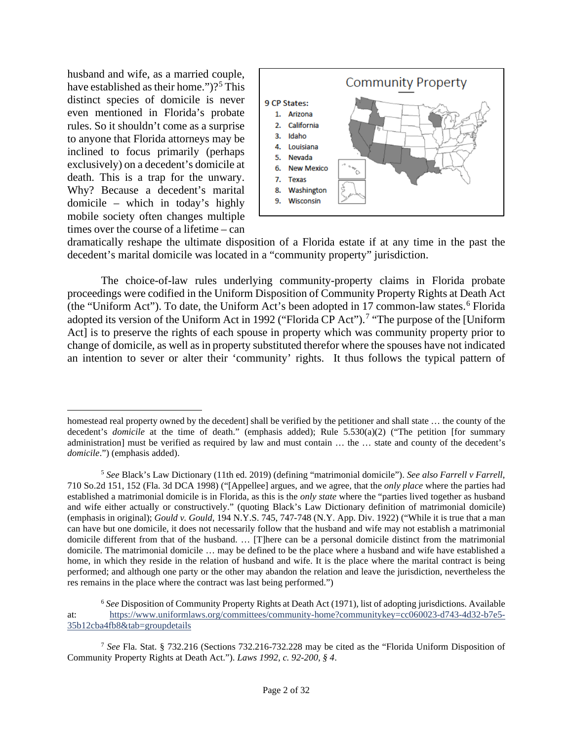husband and wife, as a married couple, have established as their home.")?<sup>[5](#page-1-0)</sup> This distinct species of domicile is never even mentioned in Florida's probate rules. So it shouldn't come as a surprise to anyone that Florida attorneys may be inclined to focus primarily (perhaps exclusively) on a decedent's domicile at death. This is a trap for the unwary. Why? Because a decedent's marital domicile – which in today's highly mobile society often changes multiple times over the course of a lifetime – can



dramatically reshape the ultimate disposition of a Florida estate if at any time in the past the decedent's marital domicile was located in a "community property" jurisdiction.

The choice-of-law rules underlying community-property claims in Florida probate proceedings were codified in the Uniform Disposition of Community Property Rights at Death Act (the "Uniform Act"). To date, the Uniform Act's been adopted in 17 common-law states.<sup>[6](#page-1-1)</sup> Florida adopted its version of the Uniform Act in 1992 ("Florida CP Act").<sup>[7](#page-1-2)</sup> "The purpose of the [Uniform Act] is to preserve the rights of each spouse in property which was community property prior to change of domicile, as well as in property substituted therefor where the spouses have not indicated an intention to sever or alter their 'community' rights. It thus follows the typical pattern of

<span id="page-1-1"></span><sup>6</sup> *See* Disposition of Community Property Rights at Death Act (1971), list of adopting jurisdictions. Available at: [https://www.uniformlaws.org/committees/community-home?communitykey=cc060023-d743-4d32-b7e5-](https://www.uniformlaws.org/committees/community-home?communitykey=cc060023-d743-4d32-b7e5-35b12cba4fb8&tab=groupdetails) [35b12cba4fb8&tab=groupdetails](https://www.uniformlaws.org/committees/community-home?communitykey=cc060023-d743-4d32-b7e5-35b12cba4fb8&tab=groupdetails)

<span id="page-1-2"></span><sup>7</sup> *See* Fla. Stat. § 732.216 (Sections 732.216-732.228 may be cited as the "Florida Uniform Disposition of Community Property Rights at Death Act."). *Laws 1992, c. 92-200, § 4*.

homestead real property owned by the decedent] shall be verified by the petitioner and shall state ... the county of the decedent's *domicile* at the time of death." (emphasis added); Rule 5.530(a)(2) ("The petition [for summary administration] must be verified as required by law and must contain … the … state and county of the decedent's *domicile*.") (emphasis added).

<span id="page-1-0"></span><sup>5</sup> *See* Black's Law Dictionary (11th ed. 2019) (defining "matrimonial domicile"). *See also Farrell v Farrell*, 710 So.2d 151, 152 (Fla. 3d DCA 1998) ("[Appellee] argues, and we agree, that the *only place* where the parties had established a matrimonial domicile is in Florida, as this is the *only state* where the "parties lived together as husband and wife either actually or constructively." (quoting Black's Law Dictionary definition of matrimonial domicile) (emphasis in original); *Gould v. Gould*, 194 N.Y.S. 745, 747-748 (N.Y. App. Div. 1922) ("While it is true that a man can have but one domicile, it does not necessarily follow that the husband and wife may not establish a matrimonial domicile different from that of the husband. … [T]here can be a personal domicile distinct from the matrimonial domicile. The matrimonial domicile … may be defined to be the place where a husband and wife have established a home, in which they reside in the relation of husband and wife. It is the place where the marital contract is being performed; and although one party or the other may abandon the relation and leave the jurisdiction, nevertheless the res remains in the place where the contract was last being performed.")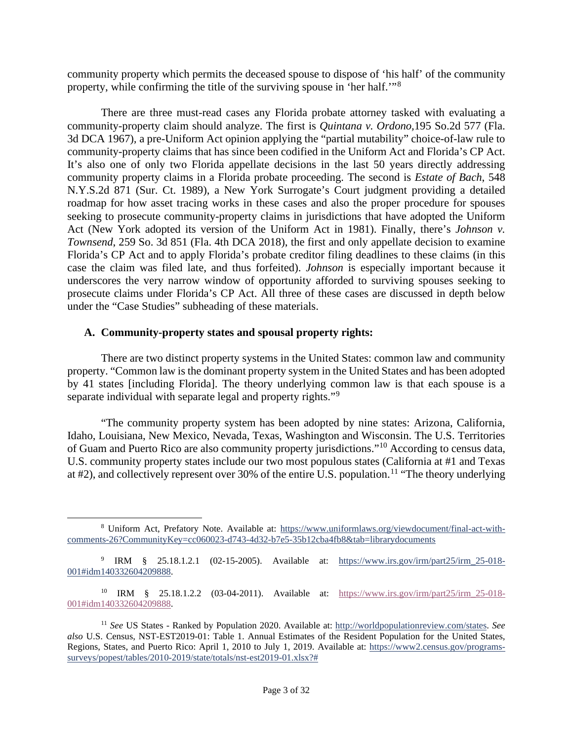community property which permits the deceased spouse to dispose of 'his half' of the community property, while confirming the title of the surviving spouse in 'her half.'"[8](#page-2-0)

There are three must-read cases any Florida probate attorney tasked with evaluating a community-property claim should analyze. The first is *Quintana v. Ordono,*195 So.2d 577 (Fla. 3d DCA 1967)*,* a pre-Uniform Act opinion applying the "partial mutability" choice-of-law rule to community-property claims that has since been codified in the Uniform Act and Florida's CP Act. It's also one of only two Florida appellate decisions in the last 50 years directly addressing community property claims in a Florida probate proceeding. The second is *Estate of Bach*, 548 N.Y.S.2d 871 (Sur. Ct. 1989), a New York Surrogate's Court judgment providing a detailed roadmap for how asset tracing works in these cases and also the proper procedure for spouses seeking to prosecute community-property claims in jurisdictions that have adopted the Uniform Act (New York adopted its version of the Uniform Act in 1981). Finally, there's *Johnson v. Townsend*, 259 So. 3d 851 (Fla. 4th DCA 2018), the first and only appellate decision to examine Florida's CP Act and to apply Florida's probate creditor filing deadlines to these claims (in this case the claim was filed late, and thus forfeited). *Johnson* is especially important because it underscores the very narrow window of opportunity afforded to surviving spouses seeking to prosecute claims under Florida's CP Act. All three of these cases are discussed in depth below under the "Case Studies" subheading of these materials.

### **A. Community-property states and spousal property rights:**

There are two distinct property systems in the United States: common law and community property. "Common law is the dominant property system in the United States and has been adopted by 41 states [including Florida]. The theory underlying common law is that each spouse is a separate individual with separate legal and property rights."<sup>[9](#page-2-1)</sup>

"The community property system has been adopted by nine states: Arizona, California, Idaho, Louisiana, New Mexico, Nevada, Texas, Washington and Wisconsin. The U.S. Territories of Guam and Puerto Rico are also community property jurisdictions."[10](#page-2-2) According to census data, U.S. community property states include our two most populous states (California at #1 and Texas at  $\#2$ ), and collectively represent over 30% of the entire U.S. population.<sup>[11](#page-2-3)</sup> "The theory underlying

<span id="page-2-0"></span><sup>8</sup> Uniform Act, Prefatory Note. Available at: [https://www.uniformlaws.org/viewdocument/final-act-with](https://www.uniformlaws.org/viewdocument/final-act-with-comments-26?CommunityKey=cc060023-d743-4d32-b7e5-35b12cba4fb8&tab=librarydocuments)[comments-26?CommunityKey=cc060023-d743-4d32-b7e5-35b12cba4fb8&tab=librarydocuments](https://www.uniformlaws.org/viewdocument/final-act-with-comments-26?CommunityKey=cc060023-d743-4d32-b7e5-35b12cba4fb8&tab=librarydocuments)

<span id="page-2-1"></span><sup>&</sup>lt;sup>9</sup> IRM § 25.18.1.2.1 (02-15-2005). Available at: https://www.irs.gov/irm/part25/irm 25-018-[001#idm140332604209888.](https://www.irs.gov/irm/part25/irm_25-018-001#idm140332604209888)

<span id="page-2-2"></span><sup>&</sup>lt;sup>10</sup> IRM § 25.18.1.2.2 (03-04-2011). Available at: [https://www.irs.gov/irm/part25/irm\\_25-018-](https://www.irs.gov/irm/part25/irm_25-018-001#idm140332604209888) [001#idm140332604209888.](https://www.irs.gov/irm/part25/irm_25-018-001#idm140332604209888)

<span id="page-2-3"></span><sup>11</sup> *See* US States - Ranked by Population 2020. Available at: [http://worldpopulationreview.com/states.](http://worldpopulationreview.com/states) *See also* U.S. Census, NST-EST2019-01: Table 1. Annual Estimates of the Resident Population for the United States, Regions, States, and Puerto Rico: April 1, 2010 to July 1, 2019. Available at: [https://www2.census.gov/programs](https://www2.census.gov/programs-surveys/popest/tables/2010-2019/state/totals/nst-est2019-01.xlsx?)[surveys/popest/tables/2010-2019/state/totals/nst-est2019-01.xlsx?#](https://www2.census.gov/programs-surveys/popest/tables/2010-2019/state/totals/nst-est2019-01.xlsx?)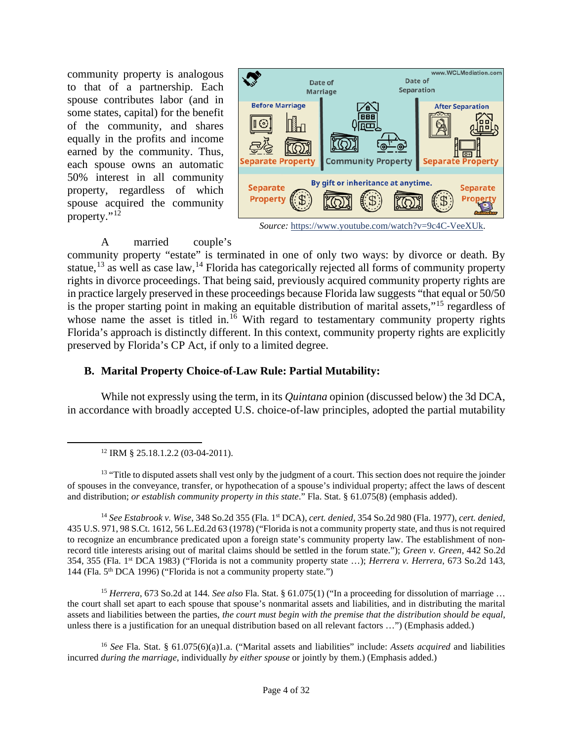community property is analogous to that of a partnership. Each spouse contributes labor (and in some states, capital) for the benefit of the community, and shares equally in the profits and income earned by the community. Thus, each spouse owns an automatic 50% interest in all community property, regardless of which spouse acquired the community property." $1\overline{2}$ 



*Source:* [https://www.youtube.com/watch?v=9c4C-VeeXUk.](https://www.youtube.com/watch?v=9c4C-VeeXUk)

### A married couple's

community property "estate" is terminated in one of only two ways: by divorce or death. By statue,<sup>[13](#page-3-1)</sup> as well as case law,<sup>[14](#page-3-2)</sup> Florida has categorically rejected all forms of community property rights in divorce proceedings. That being said, previously acquired community property rights are in practice largely preserved in these proceedings because Florida law suggests "that equal or 50/50 is the proper starting point in making an equitable distribution of marital assets,"[15](#page-3-3) regardless of whose name the asset is titled in.<sup>[16](#page-3-4)</sup> With regard to testamentary community property rights Florida's approach is distinctly different. In this context, community property rights are explicitly preserved by Florida's CP Act, if only to a limited degree.

# **B. Marital Property Choice-of-Law Rule: Partial Mutability:**

While not expressly using the term, in its *Quintana* opinion (discussed below) the 3d DCA, in accordance with broadly accepted U.S. choice-of-law principles, adopted the partial mutability

<span id="page-3-1"></span><span id="page-3-0"></span><sup>13</sup> "Title to disputed assets shall vest only by the judgment of a court. This section does not require the joinder of spouses in the conveyance, transfer, or hypothecation of a spouse's individual property; affect the laws of descent and distribution; *or establish community property in this state*." Fla. Stat. § 61.075(8) (emphasis added).

<span id="page-3-2"></span><sup>14</sup> *See Estabrook v. Wise*, 348 So.2d 355 (Fla. 1st DCA), *cert. denied*, 354 So.2d 980 (Fla. 1977), *cert. denied*, 435 U.S. 971, 98 S.Ct. 1612, 56 L.Ed.2d 63 (1978) ("Florida is not a community property state, and thus is not required to recognize an encumbrance predicated upon a foreign state's community property law. The establishment of nonrecord title interests arising out of marital claims should be settled in the forum state."); *Green v. Green*, 442 So.2d 354, 355 (Fla. 1st DCA 1983) ("Florida is not a community property state …); *Herrera v. Herrera*, 673 So.2d 143, 144 (Fla. 5<sup>th</sup> DCA 1996) ("Florida is not a community property state.")

<span id="page-3-3"></span><sup>15</sup> *Herrera*, 673 So.2d at 144*. See also* Fla. Stat. § 61.075(1) ("In a proceeding for dissolution of marriage … the court shall set apart to each spouse that spouse's nonmarital assets and liabilities, and in distributing the marital assets and liabilities between the parties, *the court must begin with the premise that the distribution should be equal*, unless there is a justification for an unequal distribution based on all relevant factors …") (Emphasis added.)

<span id="page-3-4"></span><sup>16</sup> *See* Fla. Stat. § 61.075(6)(a)1.a. ("Marital assets and liabilities" include: *Assets acquired* and liabilities incurred *during the marriage*, individually *by either spouse* or jointly by them.) (Emphasis added.)

<sup>12</sup> IRM § 25.18.1.2.2 (03-04-2011).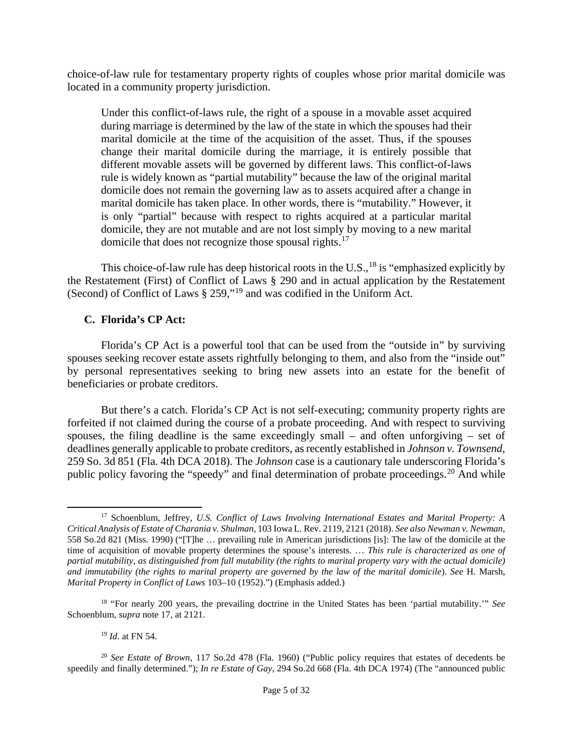choice-of-law rule for testamentary property rights of couples whose prior marital domicile was located in a community property jurisdiction.

Under this conflict-of-laws rule, the right of a spouse in a movable asset acquired during marriage is determined by the law of the state in which the spouses had their marital domicile at the time of the acquisition of the asset. Thus, if the spouses change their marital domicile during the marriage, it is entirely possible that different movable assets will be governed by different laws. This conflict-of-laws rule is widely known as "partial mutability" because the law of the original marital domicile does not remain the governing law as to assets acquired after a change in marital domicile has taken place. In other words, there is "mutability." However, it is only "partial" because with respect to rights acquired at a particular marital domicile, they are not mutable and are not lost simply by moving to a new marital domicile that does not recognize those spousal rights.<sup>[17](#page-4-0)</sup>

This choice-of-law rule has deep historical roots in the U.S.,  $^{18}$  $^{18}$  $^{18}$  is "emphasized explicitly by the Restatement (First) of Conflict of Laws § 290 and in actual application by the Restatement (Second) of Conflict of Laws § 259,"[19](#page-4-2) and was codified in the Uniform Act.

# **C. Florida's CP Act:**

Florida's CP Act is a powerful tool that can be used from the "outside in" by surviving spouses seeking recover estate assets rightfully belonging to them, and also from the "inside out" by personal representatives seeking to bring new assets into an estate for the benefit of beneficiaries or probate creditors.

But there's a catch. Florida's CP Act is not self-executing; community property rights are forfeited if not claimed during the course of a probate proceeding. And with respect to surviving spouses, the filing deadline is the same exceedingly small – and often unforgiving – set of deadlines generally applicable to probate creditors, as recently established in *Johnson v. Townsend*, 259 So. 3d 851 (Fla. 4th DCA 2018). The *Johnson* case is a cautionary tale underscoring Florida's public policy favoring the "speedy" and final determination of probate proceedings.<sup>[20](#page-4-3)</sup> And while

<sup>19</sup> *Id*. at FN 54.

<span id="page-4-0"></span><sup>17</sup> Schoenblum, Jeffrey, *U.S. Conflict of Laws Involving International Estates and Marital Property: A Critical Analysis of Estate of Charania v. Shulman*, 103 Iowa L. Rev. 2119, 2121 (2018). *See also Newman v. Newman*, 558 So.2d 821 (Miss. 1990) ("[T]he … prevailing rule in American jurisdictions [is]: The law of the domicile at the time of acquisition of movable property determines the spouse's interests. … *This rule is characterized as one of partial mutability, as distinguished from full mutability (the rights to marital property vary with the actual domicile) and immutability (the rights to marital property are governed by the law of the marital domicile*). *See* H. Marsh, *Marital Property in Conflict of Laws* 103–10 (1952).") (Emphasis added.)

<span id="page-4-1"></span><sup>18</sup> "For nearly 200 years, the prevailing doctrine in the United States has been 'partial mutability.'" *See*  Schoenblum, *supra* note 17, at 2121.

<span id="page-4-3"></span><span id="page-4-2"></span><sup>20</sup> *See Estate of Brown*, 117 So.2d 478 (Fla. 1960) ("Public policy requires that estates of decedents be speedily and finally determined."); *In re Estate of Gay*, 294 So.2d 668 (Fla. 4th DCA 1974) (The "announced public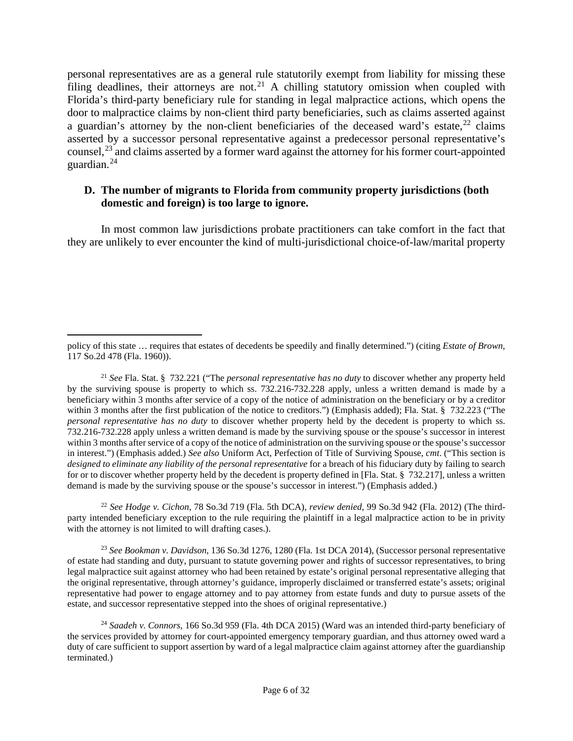personal representatives are as a general rule statutorily exempt from liability for missing these filing deadlines, their attorneys are not.<sup>[21](#page-5-0)</sup> A chilling statutory omission when coupled with Florida's third-party beneficiary rule for standing in legal malpractice actions, which opens the door to malpractice claims by non-client third party beneficiaries, such as claims asserted against a guardian's attorney by the non-client beneficiaries of the deceased ward's estate,  $22$  claims asserted by a successor personal representative against a predecessor personal representative's counsel,<sup>[23](#page-5-2)</sup> and claims asserted by a former ward against the attorney for his former court-appointed guardian.[24](#page-5-3)

### **D. The number of migrants to Florida from community property jurisdictions (both domestic and foreign) is too large to ignore.**

In most common law jurisdictions probate practitioners can take comfort in the fact that they are unlikely to ever encounter the kind of multi-jurisdictional choice-of-law/marital property

<span id="page-5-1"></span><sup>22</sup> *See Hodge v. Cichon*, 78 So.3d 719 (Fla. 5th DCA), *review denied*, 99 So.3d 942 (Fla. 2012) (The thirdparty intended beneficiary exception to the rule requiring the plaintiff in a legal malpractice action to be in privity with the attorney is not limited to will drafting cases.).

<span id="page-5-2"></span><sup>23</sup> *See Bookman v. Davidson*, 136 So.3d 1276, 1280 (Fla. 1st DCA 2014), (Successor personal representative of estate had standing and duty, pursuant to statute governing power and rights of successor representatives, to bring legal malpractice suit against attorney who had been retained by estate's original personal representative alleging that the original representative, through attorney's guidance, improperly disclaimed or transferred estate's assets; original representative had power to engage attorney and to pay attorney from estate funds and duty to pursue assets of the estate, and successor representative stepped into the shoes of original representative.)

policy of this state … requires that estates of decedents be speedily and finally determined.") (citing *Estate of Brown*, 117 So.2d 478 (Fla. 1960)).

<span id="page-5-0"></span><sup>21</sup> *See* Fla. Stat. § 732.221 ("The *personal representative has no duty* to discover whether any property held by the surviving spouse is property to which ss. 732.216-732.228 apply, unless a written demand is made by a beneficiary within 3 months after service of a copy of the notice of administration on the beneficiary or by a creditor within 3 months after the first publication of the notice to creditors.") (Emphasis added); Fla. Stat. § 732.223 ("The *personal representative has no duty* to discover whether property held by the decedent is property to which ss. 732.216-732.228 apply unless a written demand is made by the surviving spouse or the spouse's successor in interest within 3 months after service of a copy of the notice of administration on the surviving spouse or the spouse's successor in interest.") (Emphasis added.) *See also* Uniform Act, Perfection of Title of Surviving Spouse, *cmt*. ("This section is *designed to eliminate any liability of the personal representative* for a breach of his fiduciary duty by failing to search for or to discover whether property held by the decedent is property defined in [Fla. Stat. § 732.217], unless a written demand is made by the surviving spouse or the spouse's successor in interest.") (Emphasis added.)

<span id="page-5-3"></span><sup>24</sup> *Saadeh v. Connors*, 166 So.3d 959 (Fla. 4th DCA 2015) (Ward was an intended third-party beneficiary of the services provided by attorney for court-appointed emergency temporary guardian, and thus attorney owed ward a duty of care sufficient to support assertion by ward of a legal malpractice claim against attorney after the guardianship terminated.)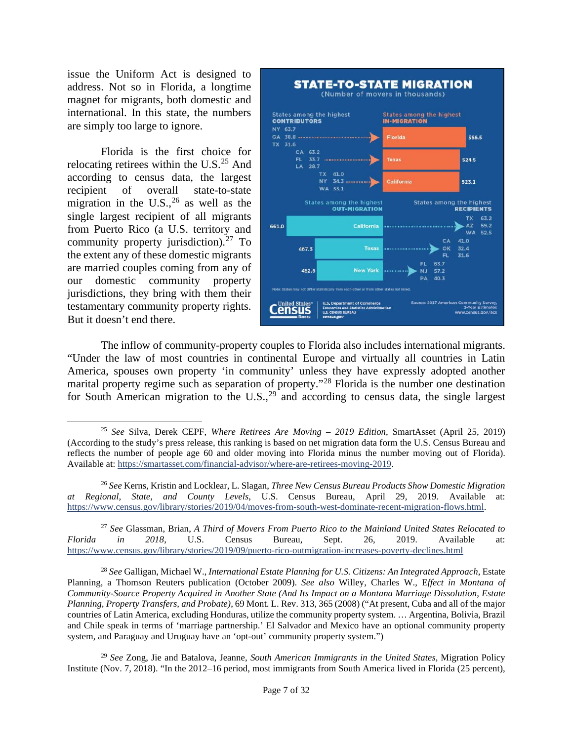issue the Uniform Act is designed to address. Not so in Florida, a longtime magnet for migrants, both domestic and international. In this state, the numbers are simply too large to ignore.

Florida is the first choice for relocating retirees within the U.S.<sup>[25](#page-6-0)</sup> And according to census data, the largest recipient of overall state-to-state migration in the  $U.S.,^{26}$  $U.S.,^{26}$  $U.S.,^{26}$  as well as the single largest recipient of all migrants from Puerto Rico (a U.S. territory and community property jurisdiction). [27](#page-6-2) To the extent any of these domestic migrants are married couples coming from any of our domestic community property jurisdictions, they bring with them their testamentary community property rights. But it doesn't end there.



The inflow of community-property couples to Florida also includes international migrants. "Under the law of most countries in continental Europe and virtually all countries in Latin America, spouses own property 'in community' unless they have expressly adopted another marital property regime such as separation of property."<sup>[28](#page-6-3)</sup> Florida is the number one destination for South American migration to the U.S.,  $29$  and according to census data, the single largest

<span id="page-6-2"></span><sup>27</sup> *See* Glassman, Brian, *A Third of Movers From Puerto Rico to the Mainland United States Relocated to Florida in 2018*, U.S. Census Bureau, Sept. 26, 2019. Available at: <https://www.census.gov/library/stories/2019/09/puerto-rico-outmigration-increases-poverty-declines.html>

<span id="page-6-3"></span><sup>28</sup> *See* Galligan, Michael W., *International Estate Planning for U.S. Citizens: An Integrated Approach*, Estate Planning, a Thomson Reuters publication (October 2009). *See also* Willey, Charles W., E*ffect in Montana of Community-Source Property Acquired in Another State (And Its Impact on a Montana Marriage Dissolution, Estate Planning, Property Transfers, and Probate)*, 69 Mont. L. Rev. 313, 365 (2008) ("At present, Cuba and all of the major countries of Latin America, excluding Honduras, utilize the community property system. … Argentina, Bolivia, Brazil and Chile speak in terms of 'marriage partnership.' El Salvador and Mexico have an optional community property system, and Paraguay and Uruguay have an 'opt-out' community property system.")

<span id="page-6-4"></span><sup>29</sup> *See* Zong, Jie and Batalova, Jeanne, *South American Immigrants in the United States*, Migration Policy Institute (Nov. 7, 2018). "In the 2012–16 period, most immigrants from South America lived in Florida (25 percent),

<span id="page-6-0"></span><sup>25</sup> *See* Silva, Derek CEPF, *Where Retirees Are Moving – 2019 Edition*, SmartAsset (April 25, 2019) (According to the study's press release, this ranking is based on net migration data form the U.S. Census Bureau and reflects the number of people age 60 and older moving into Florida minus the number moving out of Florida). Available at: [https://smartasset.com/financial-advisor/where-are-retirees-moving-2019.](https://smartasset.com/financial-advisor/where-are-retirees-moving-2019)

<span id="page-6-1"></span><sup>26</sup> *See* Kerns, Kristin and Locklear, L. Slagan, *Three New Census Bureau Products Show Domestic Migration at Regional, State, and County Levels*, U.S. Census Bureau, April 29, 2019. Available at: [https://www.census.gov/library/stories/2019/04/moves-from-south-west-dominate-recent-migration-flows.html.](https://www.census.gov/library/stories/2019/04/moves-from-south-west-dominate-recent-migration-flows.html)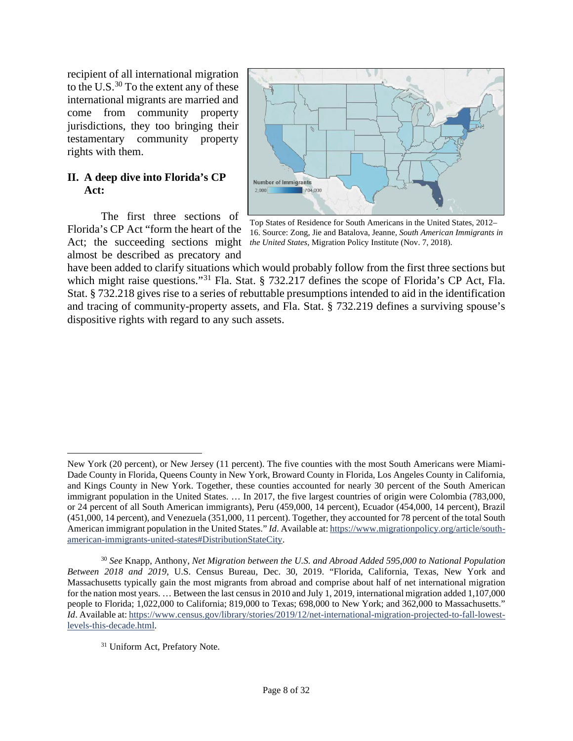recipient of all international migration to the U.S. $^{30}$  $^{30}$  $^{30}$  To the extent any of these international migrants are married and come from community property jurisdictions, they too bringing their testamentary community property rights with them.

#### **II. A deep dive into Florida's CP Act:**

The first three sections of Florida's CP Act "form the heart of the Act; the succeeding sections might almost be described as precatory and



Top States of Residence for South Americans in the United States, 2012– 16. Source: Zong, Jie and Batalova, Jeanne, *South American Immigrants in the United States*, Migration Policy Institute (Nov. 7, 2018).

have been added to clarify situations which would probably follow from the first three sections but which might raise questions."<sup>[31](#page-7-1)</sup> Fla. Stat. § 732.217 defines the scope of Florida's CP Act, Fla. Stat. § 732.218 gives rise to a series of rebuttable presumptions intended to aid in the identification and tracing of community-property assets, and Fla. Stat. § 732.219 defines a surviving spouse's dispositive rights with regard to any such assets.

New York (20 percent), or New Jersey (11 percent). The five counties with the most South Americans were Miami-Dade County in Florida, Queens County in New York, Broward County in Florida, Los Angeles County in California, and Kings County in New York. Together, these counties accounted for nearly 30 percent of the South American immigrant population in the United States. … In 2017, the five largest countries of origin were Colombia (783,000, or 24 percent of all South American immigrants), Peru (459,000, 14 percent), Ecuador (454,000, 14 percent), Brazil (451,000, 14 percent), and Venezuela (351,000, 11 percent). Together, they accounted for 78 percent of the total South American immigrant population in the United States." *Id*. Available at: [https://www.migrationpolicy.org/article/south](https://www.migrationpolicy.org/article/south-american-immigrants-united-states#DistributionStateCity)[american-immigrants-united-states#DistributionStateCity.](https://www.migrationpolicy.org/article/south-american-immigrants-united-states#DistributionStateCity)

<span id="page-7-0"></span><sup>30</sup> *See* Knapp, Anthony, *Net Migration between the U.S. and Abroad Added 595,000 to National Population Between 2018 and 2019*, U.S. Census Bureau, Dec. 30, 2019. "Florida, California, Texas, New York and Massachusetts typically gain the most migrants from abroad and comprise about half of net international migration for the nation most years. … Between the last census in 2010 and July 1, 2019, international migration added 1,107,000 people to Florida; 1,022,000 to California; 819,000 to Texas; 698,000 to New York; and 362,000 to Massachusetts." *Id*. Available at: [https://www.census.gov/library/stories/2019/12/net-international-migration-projected-to-fall-lowest](https://www.census.gov/library/stories/2019/12/net-international-migration-projected-to-fall-lowest-levels-this-decade.html)[levels-this-decade.html.](https://www.census.gov/library/stories/2019/12/net-international-migration-projected-to-fall-lowest-levels-this-decade.html)

<span id="page-7-1"></span><sup>&</sup>lt;sup>31</sup> Uniform Act, Prefatory Note.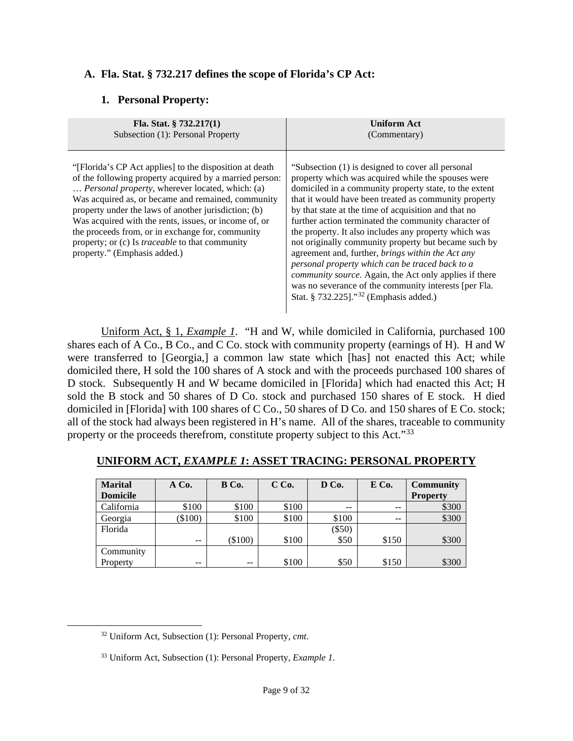# **A. Fla. Stat. § 732.217 defines the scope of Florida's CP Act:**

### **1. Personal Property:**

| Fla. Stat. $§ 732.217(1)$                                                                                                                                                                                                                                                                                                                                                                                                                                                                  | <b>Uniform Act</b>                                                                                                                                                                                                                                                                                                                                                                                                                                                                                                                                                                                                                                                                                                                           |
|--------------------------------------------------------------------------------------------------------------------------------------------------------------------------------------------------------------------------------------------------------------------------------------------------------------------------------------------------------------------------------------------------------------------------------------------------------------------------------------------|----------------------------------------------------------------------------------------------------------------------------------------------------------------------------------------------------------------------------------------------------------------------------------------------------------------------------------------------------------------------------------------------------------------------------------------------------------------------------------------------------------------------------------------------------------------------------------------------------------------------------------------------------------------------------------------------------------------------------------------------|
| Subsection (1): Personal Property                                                                                                                                                                                                                                                                                                                                                                                                                                                          | (Commentary)                                                                                                                                                                                                                                                                                                                                                                                                                                                                                                                                                                                                                                                                                                                                 |
| "[Florida's CP Act applies] to the disposition at death<br>of the following property acquired by a married person:<br>Personal property, wherever located, which: (a)<br>Was acquired as, or became and remained, community<br>property under the laws of another jurisdiction; (b)<br>Was acquired with the rents, issues, or income of, or<br>the proceeds from, or in exchange for, community<br>property; or (c) Is <i>traceable</i> to that community<br>property." (Emphasis added.) | "Subsection (1) is designed to cover all personal<br>property which was acquired while the spouses were<br>domiciled in a community property state, to the extent<br>that it would have been treated as community property<br>by that state at the time of acquisition and that no<br>further action terminated the community character of<br>the property. It also includes any property which was<br>not originally community property but became such by<br>agreement and, further, brings within the Act any<br>personal property which can be traced back to a<br>community source. Again, the Act only applies if there<br>was no severance of the community interests [per Fla.<br>Stat. § 732.225]." <sup>32</sup> (Emphasis added.) |

Uniform Act, § 1, *Example 1*. "H and W, while domiciled in California, purchased 100 shares each of A Co., B Co., and C Co. stock with community property (earnings of H). H and W were transferred to [Georgia,] a common law state which [has] not enacted this Act; while domiciled there, H sold the 100 shares of A stock and with the proceeds purchased 100 shares of D stock. Subsequently H and W became domiciled in [Florida] which had enacted this Act; H sold the B stock and 50 shares of D Co. stock and purchased 150 shares of E stock. H died domiciled in [Florida] with 100 shares of C Co., 50 shares of D Co. and 150 shares of E Co. stock; all of the stock had always been registered in H's name. All of the shares, traceable to community property or the proceeds therefrom, constitute property subject to this Act."<sup>[33](#page-8-1)</sup>

| <b>Marital</b>  | $A$ Co.   | B Co.     | $C$ Co. | D Co.    | E Co. | <b>Community</b> |
|-----------------|-----------|-----------|---------|----------|-------|------------------|
| <b>Domicile</b> |           |           |         |          |       | <b>Property</b>  |
| California      | \$100     | \$100     | \$100   | --       | --    | \$300            |
| Georgia         | $(\$100)$ | \$100     | \$100   | \$100    | $- -$ | \$300            |
| Florida         |           |           |         | $(\$50)$ |       |                  |
|                 | $- -$     | $(\$100)$ | \$100   | \$50     | \$150 | \$300            |
| Community       |           |           |         |          |       |                  |
| Property        | --        | $-$       | \$100   | \$50     | \$150 | \$300            |

#### **UNIFORM ACT,** *EXAMPLE 1***: ASSET TRACING: PERSONAL PROPERTY**

<span id="page-8-0"></span><sup>32</sup> Uniform Act, Subsection (1): Personal Property, *cmt*.

<span id="page-8-1"></span><sup>33</sup> Uniform Act, Subsection (1): Personal Property, *Example 1*.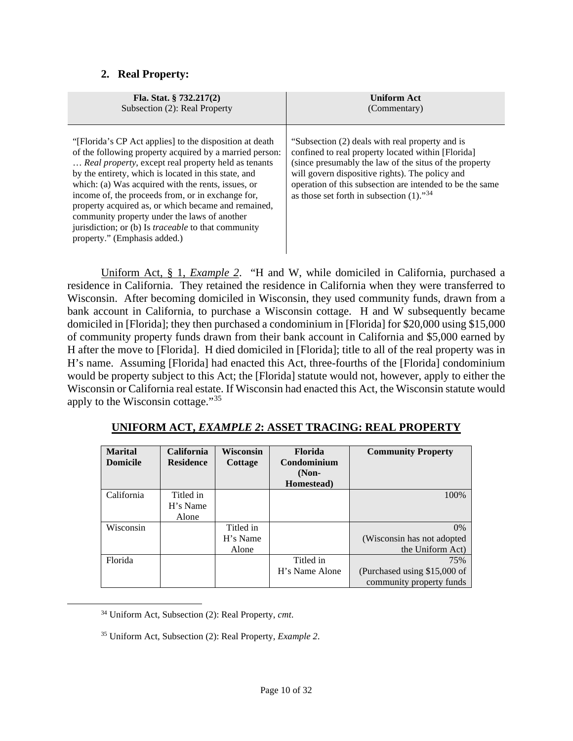# **2. Real Property:**

| Fla. Stat. $\S$ 732.217(2)                                                                                                                                                                                                                                                                                                                                                                                                                                                                                                                        | <b>Uniform Act</b>                                                                                                                                                                                                                                                                                                                        |
|---------------------------------------------------------------------------------------------------------------------------------------------------------------------------------------------------------------------------------------------------------------------------------------------------------------------------------------------------------------------------------------------------------------------------------------------------------------------------------------------------------------------------------------------------|-------------------------------------------------------------------------------------------------------------------------------------------------------------------------------------------------------------------------------------------------------------------------------------------------------------------------------------------|
| Subsection (2): Real Property                                                                                                                                                                                                                                                                                                                                                                                                                                                                                                                     | (Commentary)                                                                                                                                                                                                                                                                                                                              |
| "[Florida's CP Act applies] to the disposition at death<br>of the following property acquired by a married person:<br>Real property, except real property held as tenants<br>by the entirety, which is located in this state, and<br>which: (a) Was acquired with the rents, issues, or<br>income of, the proceeds from, or in exchange for,<br>property acquired as, or which became and remained,<br>community property under the laws of another<br>jurisdiction; or (b) Is <i>traceable</i> to that community<br>property." (Emphasis added.) | "Subsection (2) deals with real property and is<br>confined to real property located within [Florida]<br>(since presumably the law of the situs of the property<br>will govern dispositive rights). The policy and<br>operation of this subsection are intended to be the same<br>as those set forth in subsection $(1)$ ." <sup>34</sup> |

Uniform Act, § 1, *Example 2*. "H and W, while domiciled in California, purchased a residence in California. They retained the residence in California when they were transferred to Wisconsin. After becoming domiciled in Wisconsin, they used community funds, drawn from a bank account in California, to purchase a Wisconsin cottage. H and W subsequently became domiciled in [Florida]; they then purchased a condominium in [Florida] for \$20,000 using \$15,000 of community property funds drawn from their bank account in California and \$5,000 earned by H after the move to [Florida]. H died domiciled in [Florida]; title to all of the real property was in H's name. Assuming [Florida] had enacted this Act, three-fourths of the [Florida] condominium would be property subject to this Act; the [Florida] statute would not, however, apply to either the Wisconsin or California real estate. If Wisconsin had enacted this Act, the Wisconsin statute would apply to the Wisconsin cottage."[35](#page-9-1)

| <b>Marital</b><br><b>Domicile</b> | <b>California</b><br><b>Residence</b> | <b>Wisconsin</b><br>Cottage | <b>Florida</b><br>Condominium<br>$(Non-$ | <b>Community Property</b>    |
|-----------------------------------|---------------------------------------|-----------------------------|------------------------------------------|------------------------------|
|                                   |                                       |                             | Homestead)                               |                              |
| California                        | Titled in<br>H's Name                 |                             |                                          | 100%                         |
|                                   | Alone                                 |                             |                                          |                              |
| Wisconsin                         |                                       | Titled in                   |                                          | $0\%$                        |
|                                   |                                       | H's Name                    |                                          | (Wisconsin has not adopted   |
|                                   |                                       | Alone                       |                                          | the Uniform Act)             |
| Florida                           |                                       |                             | Titled in                                | 75%                          |
|                                   |                                       |                             | H's Name Alone                           | (Purchased using \$15,000 of |
|                                   |                                       |                             |                                          | community property funds     |

# **UNIFORM ACT,** *EXAMPLE 2***: ASSET TRACING: REAL PROPERTY**

<span id="page-9-0"></span><sup>34</sup> Uniform Act, Subsection (2): Real Property, *cmt*.

<span id="page-9-1"></span><sup>35</sup> Uniform Act, Subsection (2): Real Property, *Example 2*.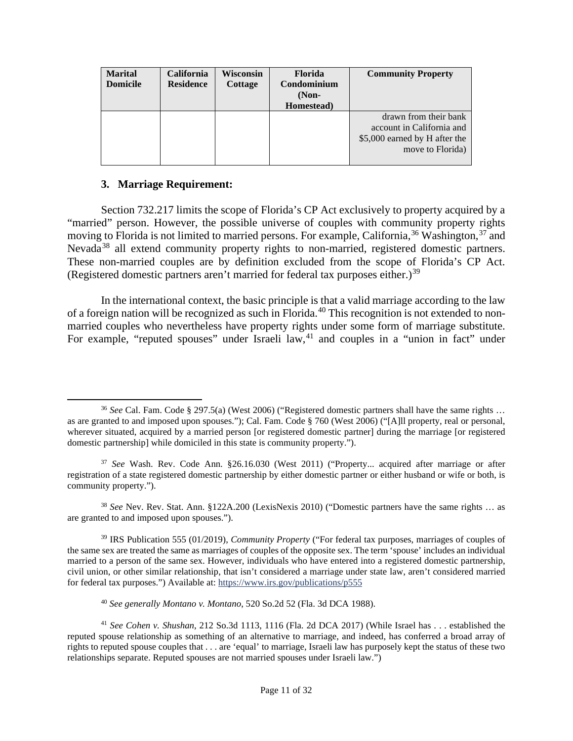| <b>Marital</b><br><b>Domicile</b> | <b>California</b><br><b>Residence</b> | Wisconsin<br>Cottage | <b>Florida</b><br>Condominium<br>$(Non-$<br>Homestead) | <b>Community Property</b>                                                                               |
|-----------------------------------|---------------------------------------|----------------------|--------------------------------------------------------|---------------------------------------------------------------------------------------------------------|
|                                   |                                       |                      |                                                        | drawn from their bank<br>account in California and<br>\$5,000 earned by H after the<br>move to Florida) |

#### **3. Marriage Requirement:**

Section 732.217 limits the scope of Florida's CP Act exclusively to property acquired by a "married" person. However, the possible universe of couples with community property rights moving to Florida is not limited to married persons. For example, California,  $36$  Washington,  $37$  and Nevada<sup>[38](#page-10-2)</sup> all extend community property rights to non-married, registered domestic partners. These non-married couples are by definition excluded from the scope of Florida's CP Act. (Registered domestic partners aren't married for federal tax purposes either.)<sup>[39](#page-10-3)</sup>

In the international context, the basic principle is that a valid marriage according to the law of a foreign nation will be recognized as such in Florida.<sup>[40](#page-10-4)</sup> This recognition is not extended to nonmarried couples who nevertheless have property rights under some form of marriage substitute. For example, "reputed spouses" under Israeli law,<sup>[41](#page-10-5)</sup> and couples in a "union in fact" under

<span id="page-10-2"></span><sup>38</sup> *See* Nev. Rev. Stat. Ann. §122A.200 (LexisNexis 2010) ("Domestic partners have the same rights … as are granted to and imposed upon spouses.").

<span id="page-10-3"></span><sup>39</sup> IRS Publication 555 (01/2019), *Community Property* ("For federal tax purposes, marriages of couples of the same sex are treated the same as marriages of couples of the opposite sex. The term 'spouse' includes an individual married to a person of the same sex. However, individuals who have entered into a registered domestic partnership, civil union, or other similar relationship, that isn't considered a marriage under state law, aren't considered married for federal tax purposes.") Available at:<https://www.irs.gov/publications/p555>

<sup>40</sup> *See generally Montano v. Montano*, 520 So.2d 52 (Fla. 3d DCA 1988).

<span id="page-10-0"></span><sup>36</sup> *See* Cal. Fam. Code § 297.5(a) (West 2006) ("Registered domestic partners shall have the same rights … as are granted to and imposed upon spouses."); Cal. Fam. Code § 760 (West 2006) ("[A]ll property, real or personal, wherever situated, acquired by a married person [or registered domestic partner] during the marriage [or registered domestic partnership] while domiciled in this state is community property.").

<span id="page-10-1"></span><sup>37</sup> *See* Wash. Rev. Code Ann. §26.16.030 (West 2011) ("Property... acquired after marriage or after registration of a state registered domestic partnership by either domestic partner or either husband or wife or both, is community property.").

<span id="page-10-5"></span><span id="page-10-4"></span><sup>41</sup> *See Cohen v. Shushan*, 212 So.3d 1113, 1116 (Fla. 2d DCA 2017) (While Israel has . . . established the reputed spouse relationship as something of an alternative to marriage, and indeed, has conferred a broad array of rights to reputed spouse couples that . . . are 'equal' to marriage, Israeli law has purposely kept the status of these two relationships separate. Reputed spouses are not married spouses under Israeli law.")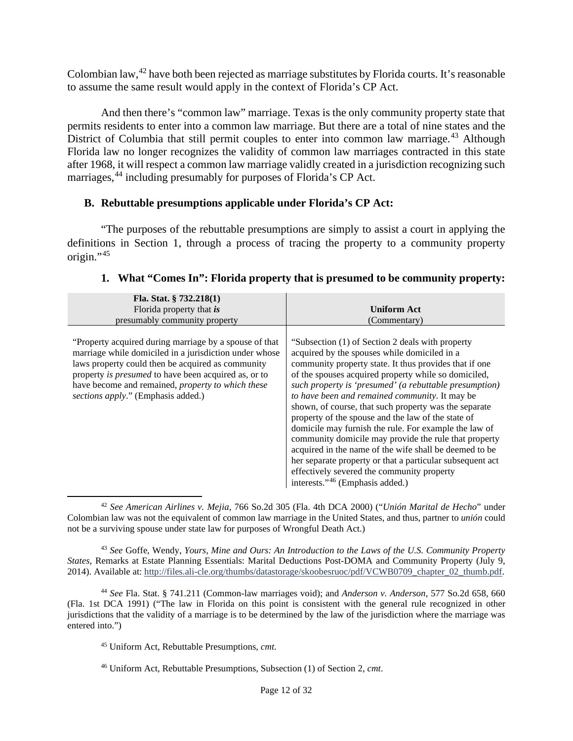Colombian law,<sup>[42](#page-11-0)</sup> have both been rejected as marriage substitutes by Florida courts. It's reasonable to assume the same result would apply in the context of Florida's CP Act.

And then there's "common law" marriage. Texas is the only community property state that permits residents to enter into a common law marriage. But there are a total of nine states and the District of Columbia that still permit couples to enter into common law marriage.<sup>[43](#page-11-1)</sup> Although Florida law no longer recognizes the validity of common law marriages contracted in this state after 1968, it will respect a common law marriage validly created in a jurisdiction recognizing such marriages, <sup>[44](#page-11-2)</sup> including presumably for purposes of Florida's CP Act.

### **B. Rebuttable presumptions applicable under Florida's CP Act:**

"The purposes of the rebuttable presumptions are simply to assist a court in applying the definitions in Section 1, through a process of tracing the property to a community property origin."[45](#page-11-3)

| Fla. Stat. $\S$ 732.218(1)<br>Florida property that is<br>presumably community property                                                                                                                                                                                                                                         | <b>Uniform Act</b><br>(Commentary)                                                                                                                                                                                                                                                                                                                                                                                                                                                                                                                                                                                                                                                                                                                                                  |
|---------------------------------------------------------------------------------------------------------------------------------------------------------------------------------------------------------------------------------------------------------------------------------------------------------------------------------|-------------------------------------------------------------------------------------------------------------------------------------------------------------------------------------------------------------------------------------------------------------------------------------------------------------------------------------------------------------------------------------------------------------------------------------------------------------------------------------------------------------------------------------------------------------------------------------------------------------------------------------------------------------------------------------------------------------------------------------------------------------------------------------|
| "Property acquired during marriage by a spouse of that<br>marriage while domiciled in a jurisdiction under whose<br>laws property could then be acquired as community<br>property is <i>presumed</i> to have been acquired as, or to<br>have become and remained, property to which these<br>sections apply." (Emphasis added.) | "Subsection (1) of Section 2 deals with property<br>acquired by the spouses while domiciled in a<br>community property state. It thus provides that if one<br>of the spouses acquired property while so domiciled,<br>such property is 'presumed' (a rebuttable presumption)<br>to have been and remained community. It may be<br>shown, of course, that such property was the separate<br>property of the spouse and the law of the state of<br>domicile may furnish the rule. For example the law of<br>community domicile may provide the rule that property<br>acquired in the name of the wife shall be deemed to be<br>her separate property or that a particular subsequent act<br>effectively severed the community property<br>interests." <sup>46</sup> (Emphasis added.) |

# **1. What "Comes In": Florida property that is presumed to be community property:**

<span id="page-11-0"></span><sup>42</sup> *See American Airlines v. Mejia*, 766 So.2d 305 (Fla. 4th DCA 2000) ("*Unión Marital de Hecho*" under Colombian law was not the equivalent of common law marriage in the United States, and thus, partner to *unión* could not be a surviving spouse under state law for purposes of Wrongful Death Act.)

<span id="page-11-1"></span><sup>43</sup> *See* Goffe, Wendy, *Yours, Mine and Ours: An Introduction to the Laws of the U.S. Community Property States*, Remarks at Estate Planning Essentials: Marital Deductions Post-DOMA and Community Property (July 9, 2014). Available at: [http://files.ali-cle.org/thumbs/datastorage/skoobesruoc/pdf/VCWB0709\\_chapter\\_02\\_thumb.pdf.](http://files.ali-cle.org/thumbs/datastorage/skoobesruoc/pdf/VCWB0709_chapter_02_thumb.pdf)

<span id="page-11-3"></span><span id="page-11-2"></span><sup>44</sup> *See* Fla. Stat. § 741.211 (Common-law marriages void); and *Anderson v. Anderson*, 577 So.2d 658, 660 (Fla. 1st DCA 1991) ("The law in Florida on this point is consistent with the general rule recognized in other jurisdictions that the validity of a marriage is to be determined by the law of the jurisdiction where the marriage was entered into.")

<sup>45</sup> Uniform Act, Rebuttable Presumptions, *cmt*.

<span id="page-11-4"></span><sup>46</sup> Uniform Act, Rebuttable Presumptions, Subsection (1) of Section 2, *cmt*.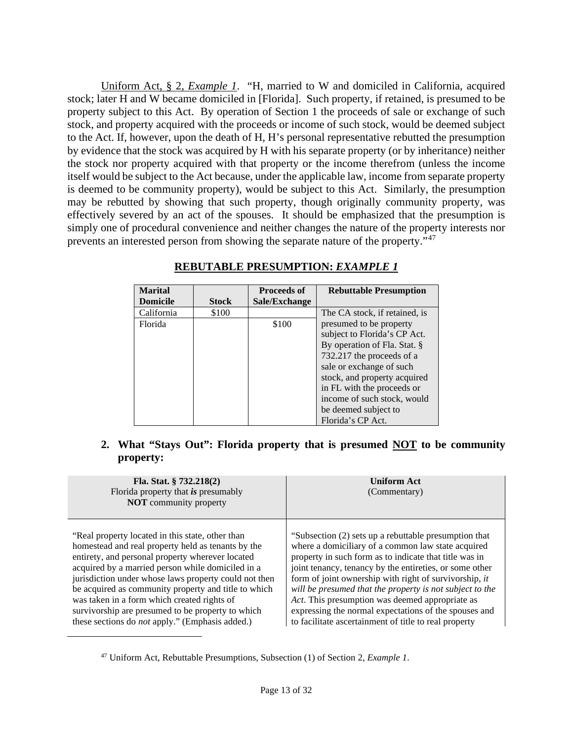Uniform Act, § 2, *Example 1*. "H, married to W and domiciled in California, acquired stock; later H and W became domiciled in [Florida]. Such property, if retained, is presumed to be property subject to this Act. By operation of Section 1 the proceeds of sale or exchange of such stock, and property acquired with the proceeds or income of such stock, would be deemed subject to the Act. If, however, upon the death of H, H's personal representative rebutted the presumption by evidence that the stock was acquired by H with his separate property (or by inheritance) neither the stock nor property acquired with that property or the income therefrom (unless the income itself would be subject to the Act because, under the applicable law, income from separate property is deemed to be community property), would be subject to this Act. Similarly, the presumption may be rebutted by showing that such property, though originally community property, was effectively severed by an act of the spouses. It should be emphasized that the presumption is simply one of procedural convenience and neither changes the nature of the property interests nor prevents an interested person from showing the separate nature of the property."[47](#page-12-0)

| <b>Marital</b>  |              | <b>Proceeds of</b> | <b>Rebuttable Presumption</b> |
|-----------------|--------------|--------------------|-------------------------------|
| <b>Domicile</b> | <b>Stock</b> | Sale/Exchange      |                               |
| California      | \$100        |                    | The CA stock, if retained, is |
| Florida         |              | \$100              | presumed to be property       |
|                 |              |                    | subject to Florida's CP Act.  |
|                 |              |                    | By operation of Fla. Stat. §  |
|                 |              |                    | 732.217 the proceeds of a     |
|                 |              |                    | sale or exchange of such      |
|                 |              |                    | stock, and property acquired  |
|                 |              |                    | in FL with the proceeds or    |
|                 |              |                    | income of such stock, would   |
|                 |              |                    | be deemed subject to          |
|                 |              |                    | Florida's CP Act.             |

#### **REBUTABLE PRESUMPTION:** *EXAMPLE 1*

**2. What "Stays Out": Florida property that is presumed NOT to be community property:**

| Fla. Stat. $§ 732.218(2)$<br>Florida property that is presumably<br><b>NOT</b> community property | <b>Uniform Act</b><br>(Commentary)                       |
|---------------------------------------------------------------------------------------------------|----------------------------------------------------------|
| "Real property located in this state, other than                                                  | "Subsection (2) sets up a rebuttable presumption that    |
| homestead and real property held as tenants by the                                                | where a domiciliary of a common law state acquired       |
| entirety, and personal property wherever located                                                  | property in such form as to indicate that title was in   |
| acquired by a married person while domiciled in a                                                 | joint tenancy, tenancy by the entireties, or some other  |
| jurisdiction under whose laws property could not then                                             | form of joint ownership with right of survivorship, it   |
| be acquired as community property and title to which                                              | will be presumed that the property is not subject to the |
| was taken in a form which created rights of                                                       | Act. This presumption was deemed appropriate as          |
| survivorship are presumed to be property to which                                                 | expressing the normal expectations of the spouses and    |
| these sections do <i>not</i> apply." (Emphasis added.)                                            | to facilitate ascertainment of title to real property    |

<span id="page-12-0"></span><sup>47</sup> Uniform Act, Rebuttable Presumptions, Subsection (1) of Section 2, *Example 1*.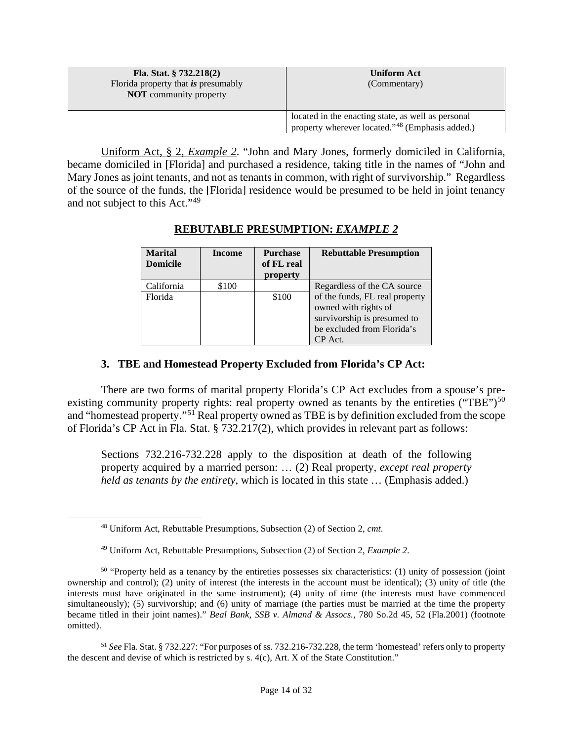| Fla. Stat. $§ 732.218(2)$<br>Florida property that is presumably<br><b>NOT</b> community property | <b>Uniform Act</b><br>(Commentary)                                                                                |
|---------------------------------------------------------------------------------------------------|-------------------------------------------------------------------------------------------------------------------|
|                                                                                                   | located in the enacting state, as well as personal<br>property wherever located." <sup>48</sup> (Emphasis added.) |

Uniform Act, § 2, *Example 2*. "John and Mary Jones, formerly domiciled in California, became domiciled in [Florida] and purchased a residence, taking title in the names of "John and Mary Jones as joint tenants, and not as tenants in common, with right of survivorship." Regardless of the source of the funds, the [Florida] residence would be presumed to be held in joint tenancy and not subject to this Act."[49](#page-13-1)

| <b>Marital</b>  | <b>Income</b> | <b>Purchase</b> | <b>Rebuttable Presumption</b>  |
|-----------------|---------------|-----------------|--------------------------------|
| <b>Domicile</b> |               | of FL real      |                                |
|                 |               | property        |                                |
| California      | \$100         |                 | Regardless of the CA source    |
| Florida         |               | \$100           | of the funds, FL real property |
|                 |               |                 | owned with rights of           |
|                 |               |                 | survivorship is presumed to    |
|                 |               |                 | be excluded from Florida's     |
|                 |               |                 | CP Act.                        |

# **REBUTABLE PRESUMPTION:** *EXAMPLE 2*

### **3. TBE and Homestead Property Excluded from Florida's CP Act:**

There are two forms of marital property Florida's CP Act excludes from a spouse's pre-existing community property rights: real property owned as tenants by the entireties ("TBE")<sup>[50](#page-13-2)</sup> and "homestead property."[51](#page-13-3) Real property owned as TBE is by definition excluded from the scope of Florida's CP Act in Fla. Stat. § 732.217(2), which provides in relevant part as follows:

Sections 732.216-732.228 apply to the disposition at death of the following property acquired by a married person: … (2) Real property, *except real property held as tenants by the entirety*, which is located in this state … (Emphasis added.)

<span id="page-13-3"></span><sup>51</sup> *See* Fla. Stat. § 732.227: "For purposes of ss. 732.216-732.228, the term 'homestead' refers only to property the descent and devise of which is restricted by s. 4(c), Art. X of the State Constitution."

<sup>48</sup> Uniform Act, Rebuttable Presumptions, Subsection (2) of Section 2, *cmt*.

<sup>49</sup> Uniform Act, Rebuttable Presumptions, Subsection (2) of Section 2, *Example 2*.

<span id="page-13-2"></span><span id="page-13-1"></span><span id="page-13-0"></span><sup>&</sup>lt;sup>50</sup> "Property held as a tenancy by the entireties possesses six characteristics: (1) unity of possession (joint ownership and control); (2) unity of interest (the interests in the account must be identical); (3) unity of title (the interests must have originated in the same instrument); (4) unity of time (the interests must have commenced simultaneously); (5) survivorship; and (6) unity of marriage (the parties must be married at the time the property became titled in their joint names)." *Beal Bank, SSB v. Almand & Assocs.*, 780 So.2d 45, 52 (Fla.2001) (footnote omitted).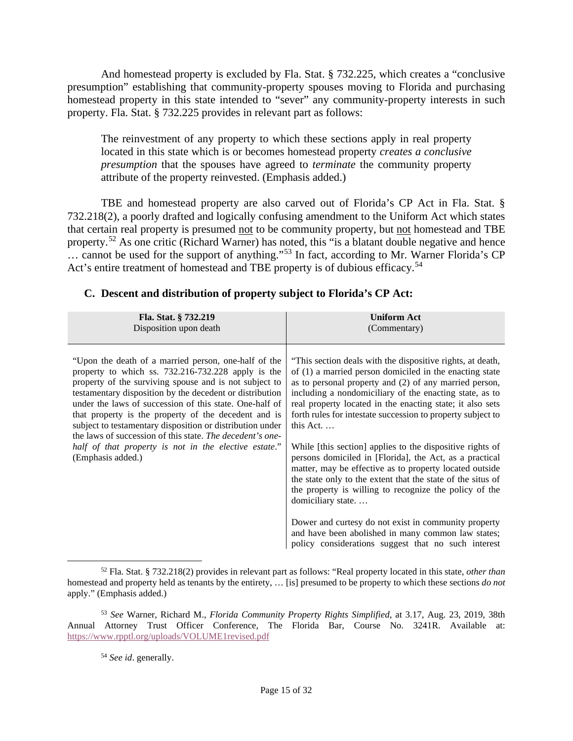And homestead property is excluded by Fla. Stat. § 732.225, which creates a "conclusive presumption" establishing that community-property spouses moving to Florida and purchasing homestead property in this state intended to "sever" any community-property interests in such property. Fla. Stat. § 732.225 provides in relevant part as follows:

The reinvestment of any property to which these sections apply in real property located in this state which is or becomes homestead property *creates a conclusive presumption* that the spouses have agreed to *terminate* the community property attribute of the property reinvested. (Emphasis added.)

TBE and homestead property are also carved out of Florida's CP Act in Fla. Stat. § 732.218(2), a poorly drafted and logically confusing amendment to the Uniform Act which states that certain real property is presumed not to be community property, but not homestead and TBE property.<sup>[52](#page-14-0)</sup> As one critic (Richard Warner) has noted, this "is a blatant double negative and hence ... cannot be used for the support of anything."<sup>[53](#page-14-1)</sup> In fact, according to Mr. Warner Florida's CP Act's entire treatment of homestead and TBE property is of dubious efficacy.<sup>[54](#page-14-2)</sup>

| Fla. Stat. § 732.219                                                                                                                                                                                                                                                                                                                                                                                                                                                                                                                                        | <b>Uniform Act</b>                                                                                                                                                                                                                                                                                                                                                                                                                                                                                                                                                                                                                                                                                                                                                                                                                                                                                |
|-------------------------------------------------------------------------------------------------------------------------------------------------------------------------------------------------------------------------------------------------------------------------------------------------------------------------------------------------------------------------------------------------------------------------------------------------------------------------------------------------------------------------------------------------------------|---------------------------------------------------------------------------------------------------------------------------------------------------------------------------------------------------------------------------------------------------------------------------------------------------------------------------------------------------------------------------------------------------------------------------------------------------------------------------------------------------------------------------------------------------------------------------------------------------------------------------------------------------------------------------------------------------------------------------------------------------------------------------------------------------------------------------------------------------------------------------------------------------|
| Disposition upon death                                                                                                                                                                                                                                                                                                                                                                                                                                                                                                                                      | (Commentary)                                                                                                                                                                                                                                                                                                                                                                                                                                                                                                                                                                                                                                                                                                                                                                                                                                                                                      |
| "Upon the death of a married person, one-half of the<br>property to which ss. 732.216-732.228 apply is the<br>property of the surviving spouse and is not subject to<br>testamentary disposition by the decedent or distribution<br>under the laws of succession of this state. One-half of<br>that property is the property of the decedent and is<br>subject to testamentary disposition or distribution under<br>the laws of succession of this state. The decedent's one-<br>half of that property is not in the elective estate."<br>(Emphasis added.) | "This section deals with the dispositive rights, at death,<br>of (1) a married person domiciled in the enacting state<br>as to personal property and (2) of any married person,<br>including a nondomiciliary of the enacting state, as to<br>real property located in the enacting state; it also sets<br>forth rules for intestate succession to property subject to<br>this Act. $\dots$<br>While [this section] applies to the dispositive rights of<br>persons domiciled in [Florida], the Act, as a practical<br>matter, may be effective as to property located outside<br>the state only to the extent that the state of the situs of<br>the property is willing to recognize the policy of the<br>domiciliary state<br>Dower and curtesy do not exist in community property<br>and have been abolished in many common law states;<br>policy considerations suggest that no such interest |

# **C. Descent and distribution of property subject to Florida's CP Act:**

<span id="page-14-0"></span><sup>52</sup> Fla. Stat. § 732.218(2) provides in relevant part as follows: "Real property located in this state, *other than* homestead and property held as tenants by the entirety, … [is] presumed to be property to which these sections *do not* apply." (Emphasis added.)

<span id="page-14-2"></span><span id="page-14-1"></span><sup>53</sup> *See* Warner, Richard M., *Florida Community Property Rights Simplified*, at 3.17, Aug. 23, 2019, 38th Annual Attorney Trust Officer Conference, The Florida Bar, Course No. 3241R. Available at: <https://www.rpptl.org/uploads/VOLUME1revised.pdf>

<sup>54</sup> *See id*. generally.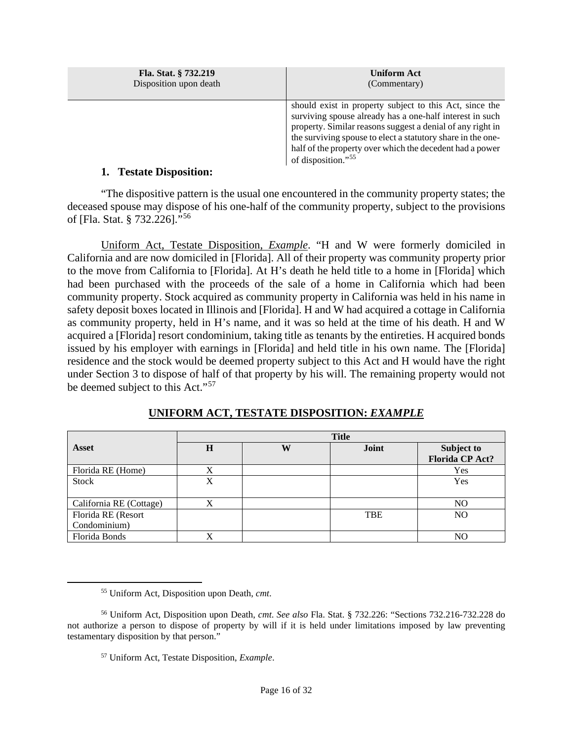| Fla. Stat. § 732.219   | <b>Uniform Act</b>                                                                                                                                                                                                                                                                                                                             |
|------------------------|------------------------------------------------------------------------------------------------------------------------------------------------------------------------------------------------------------------------------------------------------------------------------------------------------------------------------------------------|
| Disposition upon death | (Commentary)                                                                                                                                                                                                                                                                                                                                   |
|                        | should exist in property subject to this Act, since the<br>surviving spouse already has a one-half interest in such<br>property. Similar reasons suggest a denial of any right in<br>the surviving spouse to elect a statutory share in the one-<br>half of the property over which the decedent had a power<br>of disposition." <sup>55</sup> |

### **1. Testate Disposition:**

"The dispositive pattern is the usual one encountered in the community property states; the deceased spouse may dispose of his one-half of the community property, subject to the provisions of [Fla. Stat. § 732.226]."[56](#page-15-1)

Uniform Act, Testate Disposition, *Example*. "H and W were formerly domiciled in California and are now domiciled in [Florida]. All of their property was community property prior to the move from California to [Florida]. At H's death he held title to a home in [Florida] which had been purchased with the proceeds of the sale of a home in California which had been community property. Stock acquired as community property in California was held in his name in safety deposit boxes located in Illinois and [Florida]. H and W had acquired a cottage in California as community property, held in H's name, and it was so held at the time of his death. H and W acquired a [Florida] resort condominium, taking title as tenants by the entireties. H acquired bonds issued by his employer with earnings in [Florida] and held title in his own name. The [Florida] residence and the stock would be deemed property subject to this Act and H would have the right under Section 3 to dispose of half of that property by his will. The remaining property would not be deemed subject to this Act."[57](#page-15-2)

|                         | <b>Title</b> |   |            |                        |
|-------------------------|--------------|---|------------|------------------------|
| <b>Asset</b>            | $\bf H$      | W | Joint      | Subject to             |
|                         |              |   |            | <b>Florida CP Act?</b> |
| Florida RE (Home)       | X            |   |            | Yes                    |
| <b>Stock</b>            | X            |   |            | Yes                    |
|                         |              |   |            |                        |
| California RE (Cottage) | X            |   |            | NO                     |
| Florida RE (Resort      |              |   | <b>TBE</b> | NO                     |
| Condominium)            |              |   |            |                        |
| Florida Bonds           | X            |   |            | NO                     |

# **UNIFORM ACT, TESTATE DISPOSITION:** *EXAMPLE*

<sup>55</sup> Uniform Act, Disposition upon Death, *cmt*.

<span id="page-15-2"></span><span id="page-15-1"></span><span id="page-15-0"></span><sup>56</sup> Uniform Act, Disposition upon Death, *cmt*. *See also* Fla. Stat. § 732.226: "Sections 732.216-732.228 do not authorize a person to dispose of property by will if it is held under limitations imposed by law preventing testamentary disposition by that person."

<sup>57</sup> Uniform Act, Testate Disposition, *Example*.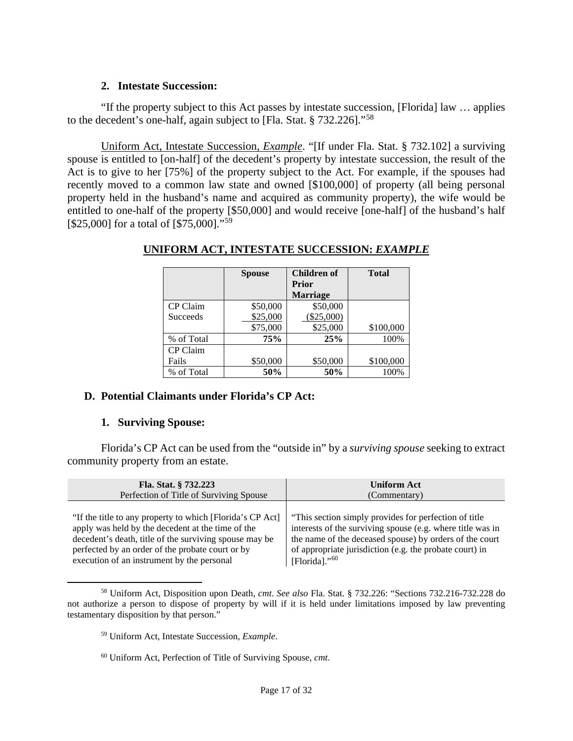### **2. Intestate Succession:**

"If the property subject to this Act passes by intestate succession, [Florida] law … applies to the decedent's one-half, again subject to [Fla. Stat. § 732.226]."[58](#page-16-0) 

Uniform Act, Intestate Succession, *Example*. "[If under Fla. Stat. § 732.102] a surviving spouse is entitled to [on-half] of the decedent's property by intestate succession, the result of the Act is to give to her [75%] of the property subject to the Act. For example, if the spouses had recently moved to a common law state and owned [\$100,000] of property (all being personal property held in the husband's name and acquired as community property), the wife would be entitled to one-half of the property [\$50,000] and would receive [one-half] of the husband's half [\$25,000] for a total of [\$75,000]."<sup>[59](#page-16-1)</sup>

|                 | <b>Spouse</b> | Children of     | <b>Total</b> |
|-----------------|---------------|-----------------|--------------|
|                 |               | <b>Prior</b>    |              |
|                 |               | <b>Marriage</b> |              |
| CP Claim        | \$50,000      | \$50,000        |              |
| <b>Succeeds</b> | \$25,000      | $(\$25,000)$    |              |
|                 | \$75,000      | \$25,000        | \$100,000    |
| % of Total      | 75%           | 25%             | 100%         |
| CP Claim        |               |                 |              |
| Fails           | \$50,000      | \$50,000        | \$100,000    |
| % of Total      | 50%           | 50%             | 100%         |

# **UNIFORM ACT, INTESTATE SUCCESSION:** *EXAMPLE*

# **D. Potential Claimants under Florida's CP Act:**

#### **1. Surviving Spouse:**

Florida's CP Act can be used from the "outside in" by a *surviving spouse* seeking to extract community property from an estate.

| Fla. Stat. § 732.223                                      | <b>Uniform Act</b>                                         |  |
|-----------------------------------------------------------|------------------------------------------------------------|--|
| Perfection of Title of Surviving Spouse                   | (Commentary)                                               |  |
| "If the title to any property to which [Florida's CP Act] | "This section simply provides for perfection of title"     |  |
| apply was held by the decedent at the time of the         | interests of the surviving spouse (e.g. where title was in |  |
| decedent's death, title of the surviving spouse may be    | the name of the deceased spouse) by orders of the court    |  |
| perfected by an order of the probate court or by          | of appropriate jurisdiction (e.g. the probate court) in    |  |
| execution of an instrument by the personal                | [Florida]." $60$                                           |  |

<span id="page-16-2"></span><span id="page-16-1"></span><span id="page-16-0"></span><sup>58</sup> Uniform Act, Disposition upon Death, *cmt*. *See also* Fla. Stat. § 732.226: "Sections 732.216-732.228 do not authorize a person to dispose of property by will if it is held under limitations imposed by law preventing testamentary disposition by that person."

<sup>60</sup> Uniform Act, Perfection of Title of Surviving Spouse, *cmt*.

<sup>59</sup> Uniform Act, Intestate Succession, *Example*.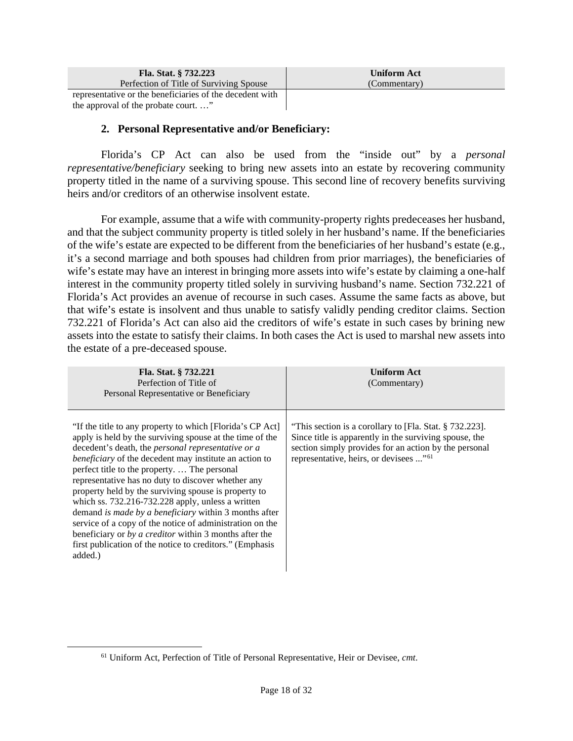| Fla. Stat. § 732.223                                     | Uniform Act  |
|----------------------------------------------------------|--------------|
| Perfection of Title of Surviving Spouse                  | (Commentary) |
| representative or the beneficiaries of the decedent with |              |
| the approval of the probate court"                       |              |

**2. Personal Representative and/or Beneficiary:**

Florida's CP Act can also be used from the "inside out" by a *personal representative/beneficiary* seeking to bring new assets into an estate by recovering community property titled in the name of a surviving spouse. This second line of recovery benefits surviving heirs and/or creditors of an otherwise insolvent estate.

For example, assume that a wife with community-property rights predeceases her husband, and that the subject community property is titled solely in her husband's name. If the beneficiaries of the wife's estate are expected to be different from the beneficiaries of her husband's estate (e.g., it's a second marriage and both spouses had children from prior marriages), the beneficiaries of wife's estate may have an interest in bringing more assets into wife's estate by claiming a one-half interest in the community property titled solely in surviving husband's name. Section 732.221 of Florida's Act provides an avenue of recourse in such cases. Assume the same facts as above, but that wife's estate is insolvent and thus unable to satisfy validly pending creditor claims. Section 732.221 of Florida's Act can also aid the creditors of wife's estate in such cases by brining new assets into the estate to satisfy their claims. In both cases the Act is used to marshal new assets into the estate of a pre-deceased spouse.

| Fla. Stat. § 732.221<br>Perfection of Title of<br>Personal Representative or Beneficiary                                                                                                                                                                                                                                                                                                                                                                                                                                                                                                                                                                                                                              | <b>Uniform Act</b><br>(Commentary)                                                                                                                                                                                               |
|-----------------------------------------------------------------------------------------------------------------------------------------------------------------------------------------------------------------------------------------------------------------------------------------------------------------------------------------------------------------------------------------------------------------------------------------------------------------------------------------------------------------------------------------------------------------------------------------------------------------------------------------------------------------------------------------------------------------------|----------------------------------------------------------------------------------------------------------------------------------------------------------------------------------------------------------------------------------|
| "If the title to any property to which [Florida's CP Act]<br>apply is held by the surviving spouse at the time of the<br>decedent's death, the personal representative or a<br><i>beneficiary</i> of the decedent may institute an action to<br>perfect title to the property.  The personal<br>representative has no duty to discover whether any<br>property held by the surviving spouse is property to<br>which ss. 732.216-732.228 apply, unless a written<br>demand is made by a beneficiary within 3 months after<br>service of a copy of the notice of administration on the<br>beneficiary or by a creditor within 3 months after the<br>first publication of the notice to creditors." (Emphasis<br>added.) | "This section is a corollary to [Fla. Stat. § 732.223].<br>Since title is apparently in the surviving spouse, the<br>section simply provides for an action by the personal<br>representative, heirs, or devisees " <sup>61</sup> |

<span id="page-17-0"></span><sup>61</sup> Uniform Act, Perfection of Title of Personal Representative, Heir or Devisee, *cmt*.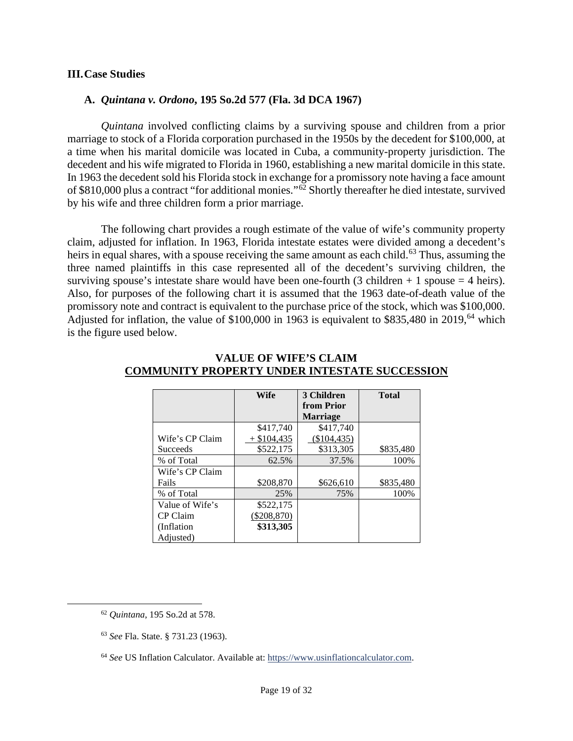#### **III.Case Studies**

#### **A.** *Quintana v. Ordono***, 195 So.2d 577 (Fla. 3d DCA 1967)**

*Quintana* involved conflicting claims by a surviving spouse and children from a prior marriage to stock of a Florida corporation purchased in the 1950s by the decedent for \$100,000, at a time when his marital domicile was located in Cuba, a community-property jurisdiction. The decedent and his wife migrated to Florida in 1960, establishing a new marital domicile in this state. In 1963 the decedent sold his Florida stock in exchange for a promissory note having a face amount of \$810,000 plus a contract "for additional monies."[62](#page-18-0) Shortly thereafter he died intestate, survived by his wife and three children form a prior marriage.

The following chart provides a rough estimate of the value of wife's community property claim, adjusted for inflation. In 1963, Florida intestate estates were divided among a decedent's heirs in equal shares, with a spouse receiving the same amount as each child.<sup>[63](#page-18-1)</sup> Thus, assuming the three named plaintiffs in this case represented all of the decedent's surviving children, the surviving spouse's intestate share would have been one-fourth (3 children  $+ 1$  spouse  $= 4$  heirs). Also, for purposes of the following chart it is assumed that the 1963 date-of-death value of the promissory note and contract is equivalent to the purchase price of the stock, which was \$100,000. Adjusted for inflation, the value of \$100,000 in 1963 is equivalent to \$835,480 in 2019,<sup>[64](#page-18-2)</sup> which is the figure used below.

|                 | Wife          | 3 Children      | <b>Total</b> |
|-----------------|---------------|-----------------|--------------|
|                 |               | from Prior      |              |
|                 |               | <b>Marriage</b> |              |
|                 | \$417.740     | \$417.740       |              |
| Wife's CP Claim | $+$ \$104,435 | $(\$104,435)$   |              |
| Succeeds        | \$522,175     | \$313,305       | \$835,480    |
| % of Total      | 62.5%         | 37.5%           | 100%         |
| Wife's CP Claim |               |                 |              |
| Fails           | \$208,870     | \$626,610       | \$835,480    |
| % of Total      | 25%           | 75%             | 100%         |
| Value of Wife's | \$522,175     |                 |              |
| CP Claim        | $(\$208,870)$ |                 |              |
| (Inflation)     | \$313,305     |                 |              |
| Adjusted)       |               |                 |              |

#### **VALUE OF WIFE'S CLAIM COMMUNITY PROPERTY UNDER INTESTATE SUCCESSION**

<span id="page-18-0"></span><sup>62</sup> *Quintana*, 195 So.2d at 578.

<span id="page-18-1"></span><sup>63</sup> *See* Fla. State. § 731.23 (1963).

<span id="page-18-2"></span><sup>64</sup> *See* US Inflation Calculator. Available at: [https://www.usinflationcalculator.com.](https://www.usinflationcalculator.com/)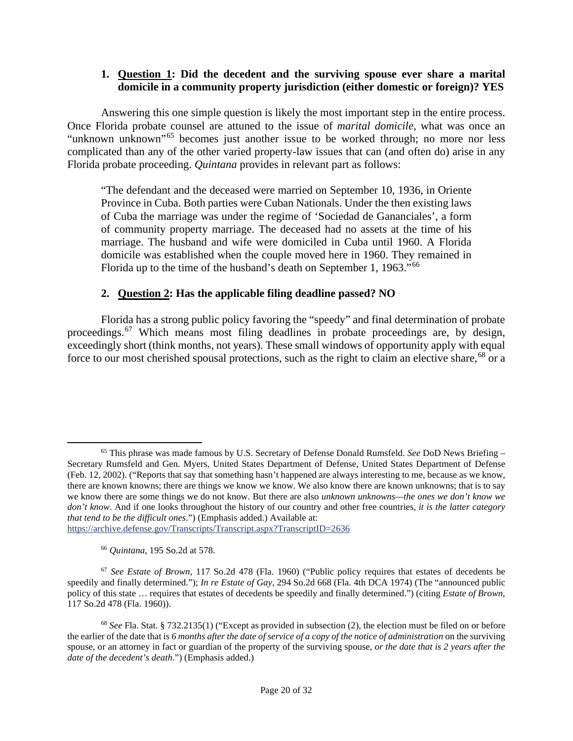### **1. Question 1: Did the decedent and the surviving spouse ever share a marital domicile in a community property jurisdiction (either domestic or foreign)? YES**

Answering this one simple question is likely the most important step in the entire process. Once Florida probate counsel are attuned to the issue of *marital domicile*, what was once an "unknown unknown"[65](#page-19-0) becomes just another issue to be worked through; no more nor less complicated than any of the other varied property-law issues that can (and often do) arise in any Florida probate proceeding. *Quintana* provides in relevant part as follows:

"The defendant and the deceased were married on September 10, 1936, in Oriente Province in Cuba. Both parties were Cuban Nationals. Under the then existing laws of Cuba the marriage was under the regime of 'Sociedad de Gananciales', a form of community property marriage. The deceased had no assets at the time of his marriage. The husband and wife were domiciled in Cuba until 1960. A Florida domicile was established when the couple moved here in 1960. They remained in Florida up to the time of the husband's death on September 1, 1963."[66](#page-19-1)

# **2. Question 2: Has the applicable filing deadline passed? NO**

Florida has a strong public policy favoring the "speedy" and final determination of probate proceedings.[67](#page-19-2) Which means most filing deadlines in probate proceedings are, by design, exceedingly short (think months, not years). These small windows of opportunity apply with equal force to our most cherished spousal protections, such as the right to claim an elective share,<sup>[68](#page-19-3)</sup> or a

<sup>66</sup> *Quintana*, 195 So.2d at 578.

<span id="page-19-2"></span><span id="page-19-1"></span><sup>67</sup> *See Estate of Brown*, 117 So.2d 478 (Fla. 1960) ("Public policy requires that estates of decedents be speedily and finally determined."); *In re Estate of Gay*, 294 So.2d 668 (Fla. 4th DCA 1974) (The "announced public policy of this state … requires that estates of decedents be speedily and finally determined.") (citing *Estate of Brown*, 117 So.2d 478 (Fla. 1960)).

<span id="page-19-0"></span><sup>65</sup> This phrase was made famous by U.S. Secretary of Defense Donald Rumsfeld. *See* DoD News Briefing – Secretary Rumsfeld and Gen. Myers, United States Department of Defense, United States Department of Defense (Feb. 12, 2002). ("Reports that say that something hasn't happened are always interesting to me, because as we know, there are known knowns; there are things we know we know. We also know there are known unknowns; that is to say we know there are some things we do not know. But there are also *unknown unknowns—the ones we don't know we don't know*. And if one looks throughout the history of our country and other free countries, *it is the latter category that tend to be the difficult ones*.") (Emphasis added.) Available at: <https://archive.defense.gov/Transcripts/Transcript.aspx?TranscriptID=2636>

<span id="page-19-3"></span><sup>68</sup> *See* Fla. Stat. § 732.2135(1) ("Except as provided in subsection (2), the election must be filed on or before the earlier of the date that is *6 months after the date of service of a copy of the notice of administration* on the surviving spouse, or an attorney in fact or guardian of the property of the surviving spouse, *or the date that is 2 years after the date of the decedent's death*.") (Emphasis added.)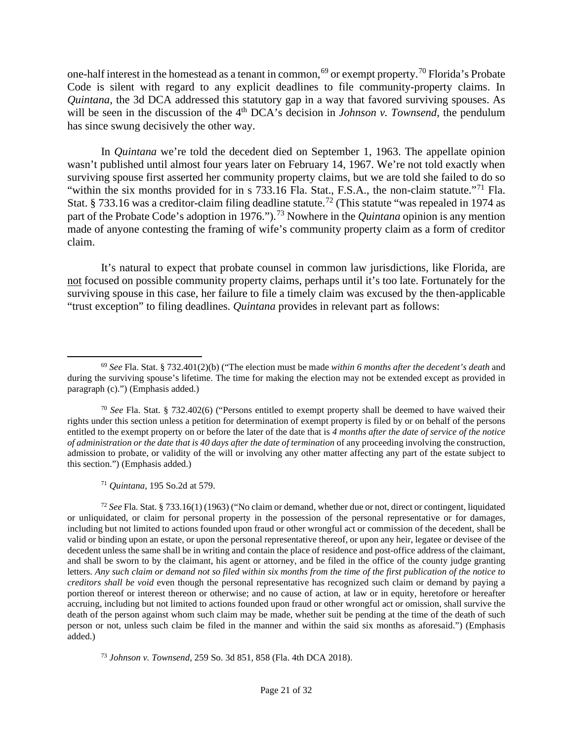one-half interest in the homestead as a tenant in common, <sup>[69](#page-20-0)</sup> or exempt property.<sup>[70](#page-20-1)</sup> Florida's Probate Code is silent with regard to any explicit deadlines to file community-property claims. In *Quintana*, the 3d DCA addressed this statutory gap in a way that favored surviving spouses. As will be seen in the discussion of the 4<sup>th</sup> DCA's decision in *Johnson v. Townsend*, the pendulum has since swung decisively the other way.

In *Quintana* we're told the decedent died on September 1, 1963. The appellate opinion wasn't published until almost four years later on February 14, 1967. We're not told exactly when surviving spouse first asserted her community property claims, but we are told she failed to do so "within the six months provided for in s 733.16 Fla. Stat., F.S.A., the non-claim statute."<sup>[71](#page-20-2)</sup> Fla. Stat. § 733.16 was a creditor-claim filing deadline statute.<sup>[72](#page-20-3)</sup> (This statute "was repealed in 1974 as part of the Probate Code's adoption in 1976.").<sup>[73](#page-20-4)</sup> Nowhere in the *Quintana* opinion is any mention made of anyone contesting the framing of wife's community property claim as a form of creditor claim.

It's natural to expect that probate counsel in common law jurisdictions, like Florida, are not focused on possible community property claims, perhaps until it's too late. Fortunately for the surviving spouse in this case, her failure to file a timely claim was excused by the then-applicable "trust exception" to filing deadlines. *Quintana* provides in relevant part as follows:

<sup>71</sup> *Quintana*, 195 So.2d at 579.

<span id="page-20-3"></span><span id="page-20-2"></span><sup>72</sup> *See* Fla. Stat. § 733.16(1) (1963) ("No claim or demand, whether due or not, direct or contingent, liquidated or unliquidated, or claim for personal property in the possession of the personal representative or for damages, including but not limited to actions founded upon fraud or other wrongful act or commission of the decedent, shall be valid or binding upon an estate, or upon the personal representative thereof, or upon any heir, legatee or devisee of the decedent unless the same shall be in writing and contain the place of residence and post-office address of the claimant, and shall be sworn to by the claimant, his agent or attorney, and be filed in the office of the county judge granting letters. *Any such claim or demand not so filed within six months from the time of the first publication of the notice to creditors shall be void* even though the personal representative has recognized such claim or demand by paying a portion thereof or interest thereon or otherwise; and no cause of action, at law or in equity, heretofore or hereafter accruing, including but not limited to actions founded upon fraud or other wrongful act or omission, shall survive the death of the person against whom such claim may be made, whether suit be pending at the time of the death of such person or not, unless such claim be filed in the manner and within the said six months as aforesaid.") (Emphasis added.)

<span id="page-20-4"></span><sup>73</sup> *Johnson v. Townsend*, 259 So. 3d 851, 858 (Fla. 4th DCA 2018).

<span id="page-20-0"></span><sup>69</sup> *See* Fla. Stat. § 732.401(2)(b) ("The election must be made *within 6 months after the decedent's death* and during the surviving spouse's lifetime. The time for making the election may not be extended except as provided in paragraph (c).") (Emphasis added.)

<span id="page-20-1"></span><sup>70</sup> *See* Fla. Stat. § 732.402(6) ("Persons entitled to exempt property shall be deemed to have waived their rights under this section unless a petition for determination of exempt property is filed by or on behalf of the persons entitled to the exempt property on or before the later of the date that is *4 months after the date of service of the notice of administration or the date that is 40 days after the date of termination* of any proceeding involving the construction, admission to probate, or validity of the will or involving any other matter affecting any part of the estate subject to this section.") (Emphasis added.)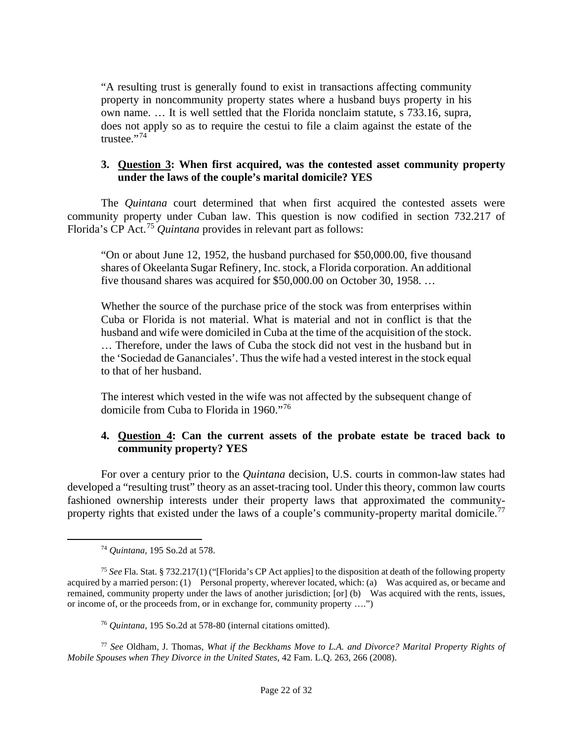"A resulting trust is generally found to exist in transactions affecting community property in noncommunity property states where a husband buys property in his own name. … It is well settled that the Florida nonclaim statute, s 733.16, supra, does not apply so as to require the cestui to file a claim against the estate of the trustee."<sup>[74](#page-21-0)</sup>

### **3. Question 3: When first acquired, was the contested asset community property under the laws of the couple's marital domicile? YES**

The *Quintana* court determined that when first acquired the contested assets were community property under Cuban law. This question is now codified in section 732.217 of Florida's CP Act.[75](#page-21-1) *Quintana* provides in relevant part as follows:

"On or about June 12, 1952, the husband purchased for \$50,000.00, five thousand shares of Okeelanta Sugar Refinery, Inc. stock, a Florida corporation. An additional five thousand shares was acquired for \$50,000.00 on October 30, 1958. …

Whether the source of the purchase price of the stock was from enterprises within Cuba or Florida is not material. What is material and not in conflict is that the husband and wife were domiciled in Cuba at the time of the acquisition of the stock. … Therefore, under the laws of Cuba the stock did not vest in the husband but in the 'Sociedad de Gananciales'. Thus the wife had a vested interest in the stock equal to that of her husband.

The interest which vested in the wife was not affected by the subsequent change of domicile from Cuba to Florida in 1960."[76](#page-21-2)

# **4. Question 4: Can the current assets of the probate estate be traced back to community property? YES**

For over a century prior to the *Quintana* decision, U.S. courts in common-law states had developed a "resulting trust" theory as an asset-tracing tool. Under this theory, common law courts fashioned ownership interests under their property laws that approximated the community-property rights that existed under the laws of a couple's community-property marital domicile.<sup>[77](#page-21-3)</sup>

<sup>74</sup> *Quintana*, 195 So.2d at 578.

<span id="page-21-1"></span><span id="page-21-0"></span><sup>75</sup> *See* Fla. Stat. § 732.217(1) ("[Florida's CP Act applies] to the disposition at death of the following property acquired by a married person: (1) Personal property, wherever located, which: (a) Was acquired as, or became and remained, community property under the laws of another jurisdiction; [or] (b) Was acquired with the rents, issues, or income of, or the proceeds from, or in exchange for, community property ….")

<sup>76</sup> *Quintana*, 195 So.2d at 578-80 (internal citations omitted).

<span id="page-21-3"></span><span id="page-21-2"></span><sup>77</sup> *See* Oldham, J. Thomas, *What if the Beckhams Move to L.A. and Divorce? Marital Property Rights of Mobile Spouses when They Divorce in the United States*, 42 Fam. L.Q. 263, 266 (2008).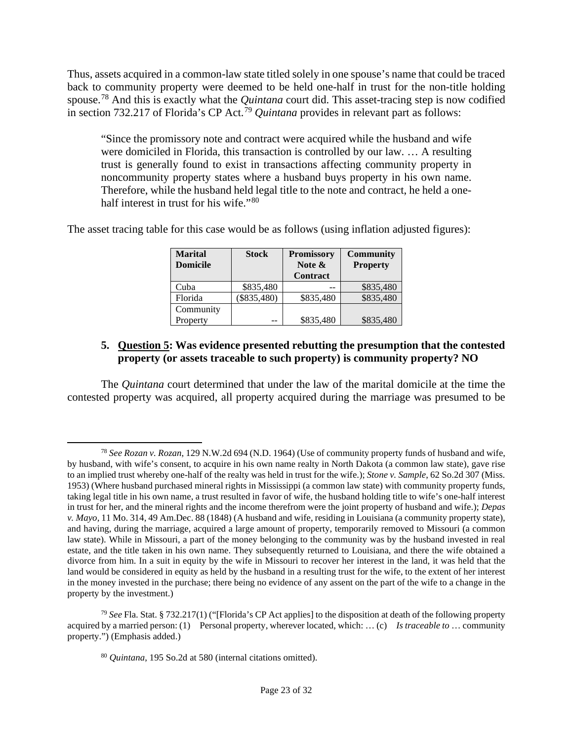Thus, assets acquired in a common-law state titled solely in one spouse's name that could be traced back to community property were deemed to be held one-half in trust for the non-title holding spouse.[78](#page-22-0) And this is exactly what the *Quintana* court did. This asset-tracing step is now codified in section 732.217 of Florida's CP Act.[79](#page-22-1) *Quintana* provides in relevant part as follows:

"Since the promissory note and contract were acquired while the husband and wife were domiciled in Florida, this transaction is controlled by our law. … A resulting trust is generally found to exist in transactions affecting community property in noncommunity property states where a husband buys property in his own name. Therefore, while the husband held legal title to the note and contract, he held a one-half interest in trust for his wife."<sup>[80](#page-22-2)</sup>

The asset tracing table for this case would be as follows (using inflation adjusted figures):

| <b>Marital</b><br><b>Domicile</b> | <b>Stock</b> | <b>Promissory</b><br>Note $\&$<br><b>Contract</b> | <b>Community</b><br><b>Property</b> |
|-----------------------------------|--------------|---------------------------------------------------|-------------------------------------|
| Cuba                              | \$835,480    |                                                   | \$835,480                           |
| Florida                           | \$835,480    | \$835,480                                         | \$835,480                           |
| Community                         |              |                                                   |                                     |
| Property                          |              | \$835,480                                         | \$835,480                           |

# **5. Question 5: Was evidence presented rebutting the presumption that the contested property (or assets traceable to such property) is community property? NO**

The *Quintana* court determined that under the law of the marital domicile at the time the contested property was acquired, all property acquired during the marriage was presumed to be

<span id="page-22-0"></span><sup>78</sup> *See Rozan v. Rozan*, 129 N.W.2d 694 (N.D. 1964) (Use of community property funds of husband and wife, by husband, with wife's consent, to acquire in his own name realty in North Dakota (a common law state), gave rise to an implied trust whereby one-half of the realty was held in trust for the wife.); *Stone v. Sample*, 62 So.2d 307 (Miss. 1953) (Where husband purchased mineral rights in Mississippi (a common law state) with community property funds, taking legal title in his own name, a trust resulted in favor of wife, the husband holding title to wife's one-half interest in trust for her, and the mineral rights and the income therefrom were the joint property of husband and wife.); *Depas v. Mayo,* 11 Mo. 314, 49 Am.Dec. 88 (1848) (A husband and wife, residing in Louisiana (a community property state), and having, during the marriage, acquired a large amount of property, temporarily removed to Missouri (a common law state). While in Missouri, a part of the money belonging to the community was by the husband invested in real estate, and the title taken in his own name. They subsequently returned to Louisiana, and there the wife obtained a divorce from him. In a suit in equity by the wife in Missouri to recover her interest in the land, it was held that the land would be considered in equity as held by the husband in a resulting trust for the wife, to the extent of her interest in the money invested in the purchase; there being no evidence of any assent on the part of the wife to a change in the property by the investment.)

<span id="page-22-2"></span><span id="page-22-1"></span><sup>79</sup> *See* Fla. Stat. § 732.217(1) ("[Florida's CP Act applies] to the disposition at death of the following property acquired by a married person: (1) Personal property, wherever located, which: … (c) *Is traceable to* … community property.") (Emphasis added.)

<sup>80</sup> *Quintana*, 195 So.2d at 580 (internal citations omitted).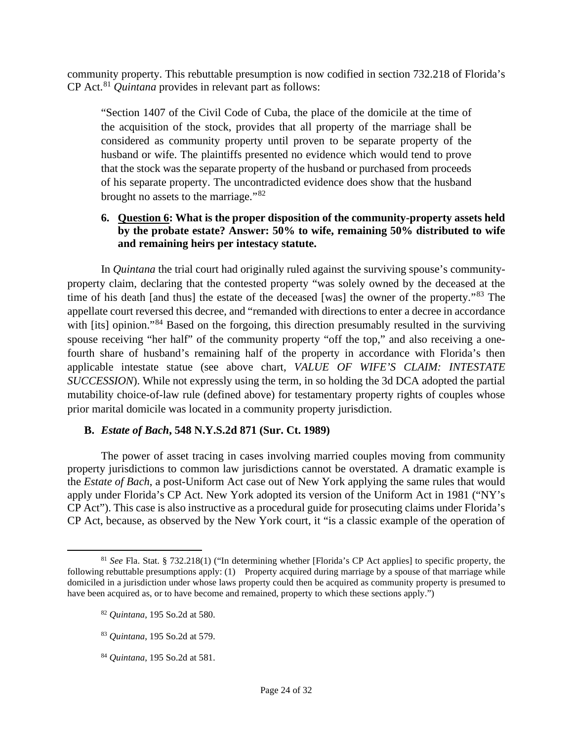community property. This rebuttable presumption is now codified in section 732.218 of Florida's CP Act.[81](#page-23-0) *Quintana* provides in relevant part as follows:

"Section 1407 of the Civil Code of Cuba, the place of the domicile at the time of the acquisition of the stock, provides that all property of the marriage shall be considered as community property until proven to be separate property of the husband or wife. The plaintiffs presented no evidence which would tend to prove that the stock was the separate property of the husband or purchased from proceeds of his separate property. The uncontradicted evidence does show that the husband brought no assets to the marriage."<sup>[82](#page-23-1)</sup>

### **6. Question 6: What is the proper disposition of the community-property assets held by the probate estate? Answer: 50% to wife, remaining 50% distributed to wife and remaining heirs per intestacy statute.**

In *Quintana* the trial court had originally ruled against the surviving spouse's communityproperty claim, declaring that the contested property "was solely owned by the deceased at the time of his death [and thus] the estate of the deceased [was] the owner of the property."[83](#page-23-2) The appellate court reversed this decree, and "remanded with directions to enter a decree in accordance with [its] opinion."<sup>[84](#page-23-3)</sup> Based on the forgoing, this direction presumably resulted in the surviving spouse receiving "her half" of the community property "off the top," and also receiving a onefourth share of husband's remaining half of the property in accordance with Florida's then applicable intestate statue (see above chart, *VALUE OF WIFE'S CLAIM: INTESTATE SUCCESSION*). While not expressly using the term, in so holding the 3d DCA adopted the partial mutability choice-of-law rule (defined above) for testamentary property rights of couples whose prior marital domicile was located in a community property jurisdiction.

# **B.** *Estate of Bach***, 548 N.Y.S.2d 871 (Sur. Ct. 1989)**

The power of asset tracing in cases involving married couples moving from community property jurisdictions to common law jurisdictions cannot be overstated. A dramatic example is the *Estate of Bach*, a post-Uniform Act case out of New York applying the same rules that would apply under Florida's CP Act. New York adopted its version of the Uniform Act in 1981 ("NY's CP Act"). This case is also instructive as a procedural guide for prosecuting claims under Florida's CP Act, because, as observed by the New York court, it "is a classic example of the operation of

<span id="page-23-3"></span><sup>84</sup> *Quintana*, 195 So.2d at 581.

<span id="page-23-1"></span><span id="page-23-0"></span><sup>81</sup> *See* Fla. Stat. § 732.218(1) ("In determining whether [Florida's CP Act applies] to specific property, the following rebuttable presumptions apply: (1) Property acquired during marriage by a spouse of that marriage while domiciled in a jurisdiction under whose laws property could then be acquired as community property is presumed to have been acquired as, or to have become and remained, property to which these sections apply.")

<sup>82</sup> *Quintana*, 195 So.2d at 580.

<span id="page-23-2"></span><sup>83</sup> *Quintana*, 195 So.2d at 579.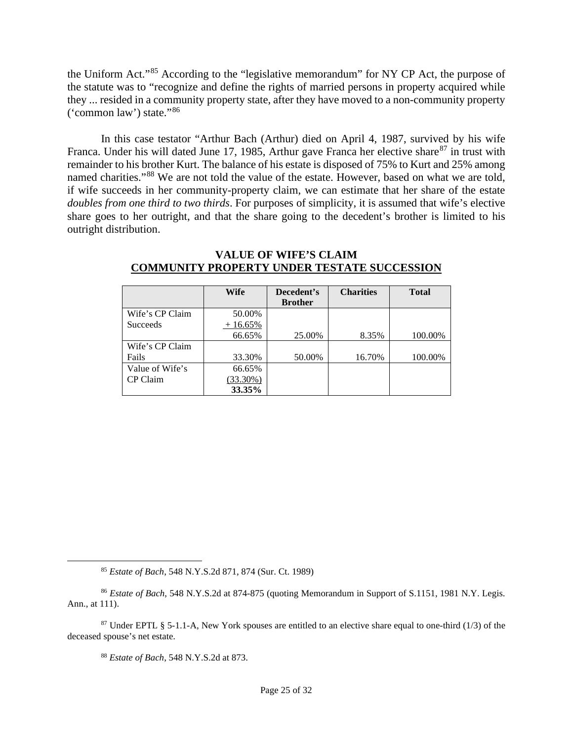the Uniform Act."[85](#page-24-0) According to the "legislative memorandum" for NY CP Act, the purpose of the statute was to "recognize and define the rights of married persons in property acquired while they ... resided in a community property state, after they have moved to a non-community property ('common law') state."[86](#page-24-1)

In this case testator "Arthur Bach (Arthur) died on April 4, 1987, survived by his wife Franca. Under his will dated June 17, 1985, Arthur gave Franca her elective share<sup>[87](#page-24-2)</sup> in trust with remainder to his brother Kurt. The balance of his estate is disposed of 75% to Kurt and 25% among named charities."<sup>[88](#page-24-3)</sup> We are not told the value of the estate. However, based on what we are told, if wife succeeds in her community-property claim, we can estimate that her share of the estate *doubles from one third to two thirds*. For purposes of simplicity, it is assumed that wife's elective share goes to her outright, and that the share going to the decedent's brother is limited to his outright distribution.

|                 | Wife        | Decedent's     | <b>Charities</b> | <b>Total</b> |
|-----------------|-------------|----------------|------------------|--------------|
|                 |             | <b>Brother</b> |                  |              |
| Wife's CP Claim | 50.00%      |                |                  |              |
| Succeeds        | $+16.65%$   |                |                  |              |
|                 | 66.65%      | 25.00%         | 8.35%            | 100.00%      |
| Wife's CP Claim |             |                |                  |              |
| Fails           | 33.30%      | 50.00%         | 16.70%           | 100.00%      |
| Value of Wife's | 66.65%      |                |                  |              |
| CP Claim        | $(33.30\%)$ |                |                  |              |
|                 | 33.35%      |                |                  |              |

#### **VALUE OF WIFE'S CLAIM COMMUNITY PROPERTY UNDER TESTATE SUCCESSION**

<sup>85</sup> *Estate of Bach*, 548 N.Y.S.2d 871, 874 (Sur. Ct. 1989)

<span id="page-24-1"></span><span id="page-24-0"></span><sup>86</sup> *Estate of Bach*, 548 N.Y.S.2d at 874-875 (quoting Memorandum in Support of S.1151, 1981 N.Y. Legis. Ann., at 111).

<sup>88</sup> *Estate of Bach*, 548 N.Y.S.2d at 873.

<span id="page-24-3"></span><span id="page-24-2"></span><sup>&</sup>lt;sup>87</sup> Under EPTL § 5-1.1-A, New York spouses are entitled to an elective share equal to one-third (1/3) of the deceased spouse's net estate.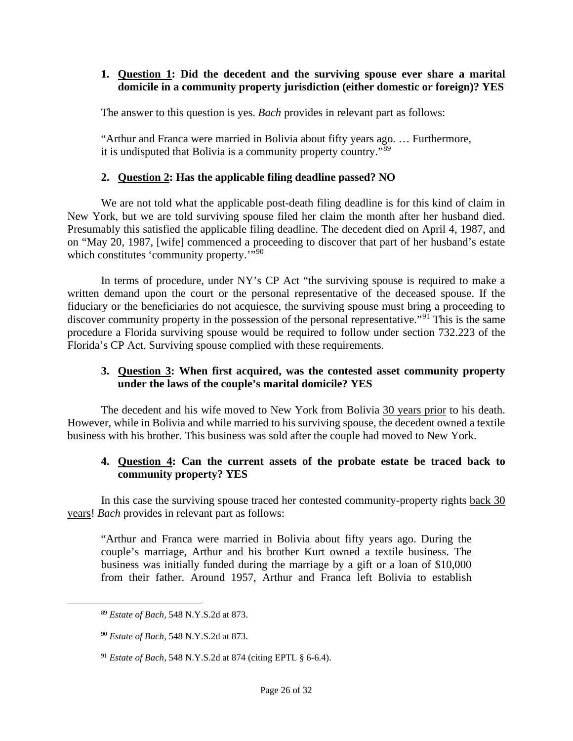# **1. Question 1: Did the decedent and the surviving spouse ever share a marital domicile in a community property jurisdiction (either domestic or foreign)? YES**

The answer to this question is yes. *Bach* provides in relevant part as follows:

"Arthur and Franca were married in Bolivia about fifty years ago. … Furthermore, it is undisputed that Bolivia is a community property country."[89](#page-25-0)

# **2. Question 2: Has the applicable filing deadline passed? NO**

We are not told what the applicable post-death filing deadline is for this kind of claim in New York, but we are told surviving spouse filed her claim the month after her husband died. Presumably this satisfied the applicable filing deadline. The decedent died on April 4, 1987, and on "May 20, 1987, [wife] commenced a proceeding to discover that part of her husband's estate which constitutes 'community property."<sup>5[90](#page-25-1)</sup>

In terms of procedure, under NY's CP Act "the surviving spouse is required to make a written demand upon the court or the personal representative of the deceased spouse. If the fiduciary or the beneficiaries do not acquiesce, the surviving spouse must bring a proceeding to discover community property in the possession of the personal representative."<sup>[91](#page-25-2)</sup> This is the same procedure a Florida surviving spouse would be required to follow under section 732.223 of the Florida's CP Act. Surviving spouse complied with these requirements.

# **3. Question 3: When first acquired, was the contested asset community property under the laws of the couple's marital domicile? YES**

The decedent and his wife moved to New York from Bolivia 30 years prior to his death. However, while in Bolivia and while married to his surviving spouse, the decedent owned a textile business with his brother. This business was sold after the couple had moved to New York.

# **4. Question 4: Can the current assets of the probate estate be traced back to community property? YES**

In this case the surviving spouse traced her contested community-property rights back 30 years! *Bach* provides in relevant part as follows:

"Arthur and Franca were married in Bolivia about fifty years ago. During the couple's marriage, Arthur and his brother Kurt owned a textile business. The business was initially funded during the marriage by a gift or a loan of \$10,000 from their father. Around 1957, Arthur and Franca left Bolivia to establish

<span id="page-25-0"></span><sup>89</sup> *Estate of Bach*, 548 N.Y.S.2d at 873.

<span id="page-25-1"></span><sup>90</sup> *Estate of Bach*, 548 N.Y.S.2d at 873.

<span id="page-25-2"></span><sup>91</sup> *Estate of Bach*, 548 N.Y.S.2d at 874 (citing EPTL § 6-6.4).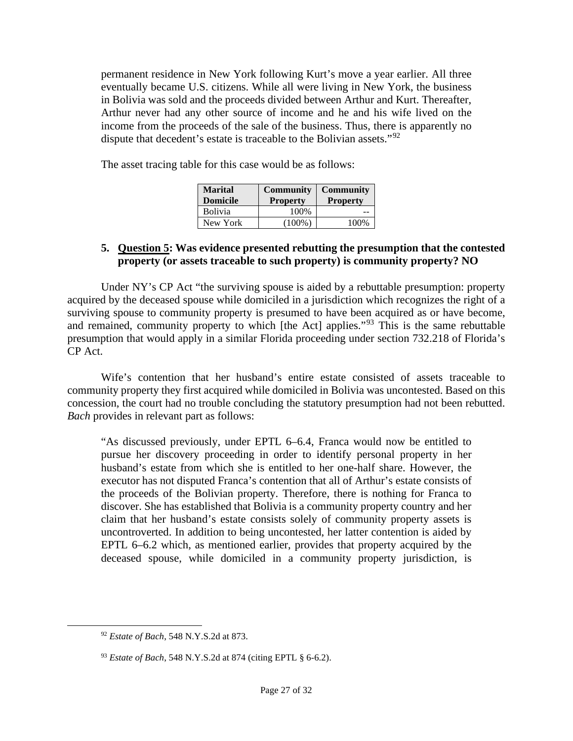permanent residence in New York following Kurt's move a year earlier. All three eventually became U.S. citizens. While all were living in New York, the business in Bolivia was sold and the proceeds divided between Arthur and Kurt. Thereafter, Arthur never had any other source of income and he and his wife lived on the income from the proceeds of the sale of the business. Thus, there is apparently no dispute that decedent's estate is traceable to the Bolivian assets."<sup>[92](#page-26-0)</sup>

The asset tracing table for this case would be as follows:

| <b>Marital</b><br><b>Domicile</b> | <b>Community</b><br><b>Property</b> | <b>Community</b><br><b>Property</b> |  |
|-----------------------------------|-------------------------------------|-------------------------------------|--|
| <b>Bolivia</b>                    | 100%                                |                                     |  |
| New York                          | (100%)                              | 100%                                |  |

### **5. Question 5: Was evidence presented rebutting the presumption that the contested property (or assets traceable to such property) is community property? NO**

Under NY's CP Act "the surviving spouse is aided by a rebuttable presumption: property acquired by the deceased spouse while domiciled in a jurisdiction which recognizes the right of a surviving spouse to community property is presumed to have been acquired as or have become, and remained, community property to which [the Act] applies."<sup>[93](#page-26-1)</sup> This is the same rebuttable presumption that would apply in a similar Florida proceeding under section 732.218 of Florida's CP Act.

Wife's contention that her husband's entire estate consisted of assets traceable to community property they first acquired while domiciled in Bolivia was uncontested. Based on this concession, the court had no trouble concluding the statutory presumption had not been rebutted. *Bach* provides in relevant part as follows:

"As discussed previously, under EPTL 6–6.4, Franca would now be entitled to pursue her discovery proceeding in order to identify personal property in her husband's estate from which she is entitled to her one-half share. However, the executor has not disputed Franca's contention that all of Arthur's estate consists of the proceeds of the Bolivian property. Therefore, there is nothing for Franca to discover. She has established that Bolivia is a community property country and her claim that her husband's estate consists solely of community property assets is uncontroverted. In addition to being uncontested, her latter contention is aided by EPTL 6–6.2 which, as mentioned earlier, provides that property acquired by the deceased spouse, while domiciled in a community property jurisdiction, is

<span id="page-26-0"></span><sup>92</sup> *Estate of Bach*, 548 N.Y.S.2d at 873.

<span id="page-26-1"></span><sup>93</sup> *Estate of Bach*, 548 N.Y.S.2d at 874 (citing EPTL § 6-6.2).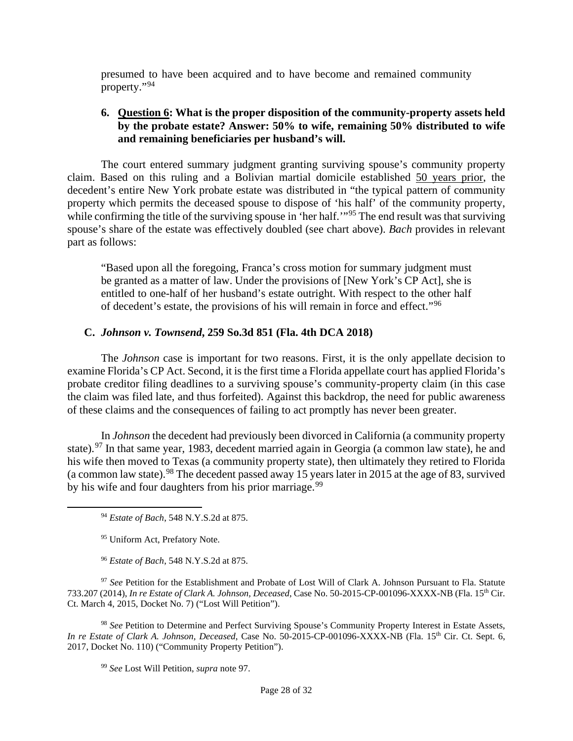presumed to have been acquired and to have become and remained community property."[94](#page-27-0)

### **6. Question 6: What is the proper disposition of the community-property assets held by the probate estate? Answer: 50% to wife, remaining 50% distributed to wife and remaining beneficiaries per husband's will.**

The court entered summary judgment granting surviving spouse's community property claim. Based on this ruling and a Bolivian martial domicile established 50 years prior, the decedent's entire New York probate estate was distributed in "the typical pattern of community property which permits the deceased spouse to dispose of 'his half' of the community property, while confirming the title of the surviving spouse in 'her half.'"<sup>[95](#page-27-1)</sup> The end result was that surviving spouse's share of the estate was effectively doubled (see chart above). *Bach* provides in relevant part as follows:

"Based upon all the foregoing, Franca's cross motion for summary judgment must be granted as a matter of law. Under the provisions of [New York's CP Act], she is entitled to one-half of her husband's estate outright. With respect to the other half of decedent's estate, the provisions of his will remain in force and effect."[96](#page-27-2)

#### **C.** *Johnson v. Townsend***, 259 So.3d 851 (Fla. 4th DCA 2018)**

The *Johnson* case is important for two reasons. First, it is the only appellate decision to examine Florida's CP Act. Second, it is the first time a Florida appellate court has applied Florida's probate creditor filing deadlines to a surviving spouse's community-property claim (in this case the claim was filed late, and thus forfeited). Against this backdrop, the need for public awareness of these claims and the consequences of failing to act promptly has never been greater.

In *Johnson* the decedent had previously been divorced in California (a community property state).<sup>[97](#page-27-3)</sup> In that same year, 1983, decedent married again in Georgia (a common law state), he and his wife then moved to Texas (a community property state), then ultimately they retired to Florida (a common law state). <sup>[98](#page-27-4)</sup> The decedent passed away 15 years later in 2015 at the age of 83, survived by his wife and four daughters from his prior marriage.<sup>[99](#page-27-5)</sup>

<span id="page-27-3"></span><span id="page-27-2"></span><span id="page-27-1"></span><span id="page-27-0"></span><sup>97</sup> See Petition for the Establishment and Probate of Lost Will of Clark A. Johnson Pursuant to Fla. Statute 733.207 (2014), *In re Estate of Clark A. Johnson, Deceased*, Case No. 50-2015-CP-001096-XXXX-NB (Fla. 15th Cir. Ct. March 4, 2015, Docket No. 7) ("Lost Will Petition").

<span id="page-27-5"></span><span id="page-27-4"></span><sup>98</sup> *See* Petition to Determine and Perfect Surviving Spouse's Community Property Interest in Estate Assets, *In re Estate of Clark A. Johnson, Deceased*, Case No. 50-2015-CP-001096-XXXX-NB (Fla. 15th Cir. Ct. Sept. 6, 2017, Docket No. 110) ("Community Property Petition").

<sup>94</sup> *Estate of Bach*, 548 N.Y.S.2d at 875.

<sup>95</sup> Uniform Act, Prefatory Note.

<sup>96</sup> *Estate of Bach*, 548 N.Y.S.2d at 875.

<sup>99</sup> *See* Lost Will Petition, *supra* note 97.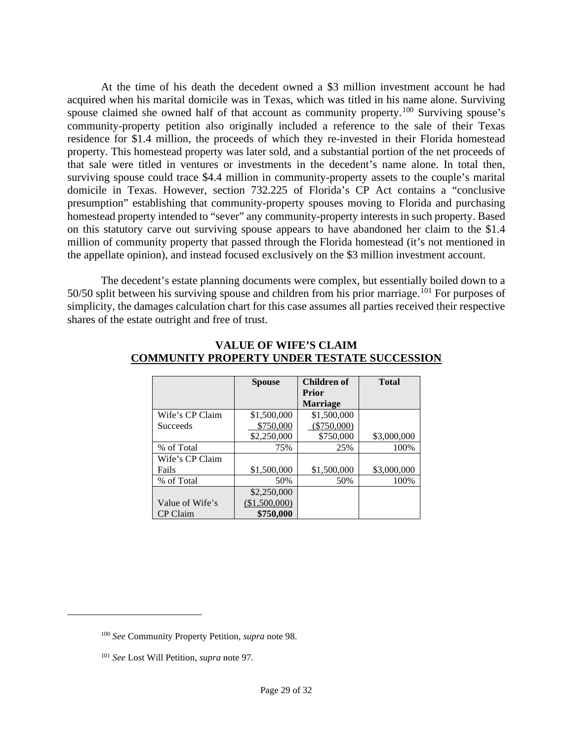At the time of his death the decedent owned a \$3 million investment account he had acquired when his marital domicile was in Texas, which was titled in his name alone. Surviving spouse claimed she owned half of that account as community property.<sup>[100](#page-28-0)</sup> Surviving spouse's community-property petition also originally included a reference to the sale of their Texas residence for \$1.4 million, the proceeds of which they re-invested in their Florida homestead property. This homestead property was later sold, and a substantial portion of the net proceeds of that sale were titled in ventures or investments in the decedent's name alone. In total then, surviving spouse could trace \$4.4 million in community-property assets to the couple's marital domicile in Texas. However, section 732.225 of Florida's CP Act contains a "conclusive presumption" establishing that community-property spouses moving to Florida and purchasing homestead property intended to "sever" any community-property interests in such property. Based on this statutory carve out surviving spouse appears to have abandoned her claim to the \$1.4 million of community property that passed through the Florida homestead (it's not mentioned in the appellate opinion), and instead focused exclusively on the \$3 million investment account.

The decedent's estate planning documents were complex, but essentially boiled down to a  $50/50$  split between his surviving spouse and children from his prior marriage.<sup>[101](#page-28-1)</sup> For purposes of simplicity, the damages calculation chart for this case assumes all parties received their respective shares of the estate outright and free of trust.

|                 | <b>Spouse</b> | Children of     | <b>Total</b> |
|-----------------|---------------|-----------------|--------------|
|                 |               | Prior           |              |
|                 |               | <b>Marriage</b> |              |
| Wife's CP Claim | \$1,500,000   | \$1,500,000     |              |
| <b>Succeeds</b> | \$750,000     | $(\$750,000)$   |              |
|                 | \$2,250,000   | \$750,000       | \$3,000,000  |
| % of Total      | 75%           | 25%             | 100%         |
| Wife's CP Claim |               |                 |              |
| Fails           | \$1,500,000   | \$1,500,000     | \$3,000,000  |
| % of Total      | 50%           | 50%             | 100%         |
|                 | \$2,250,000   |                 |              |
| Value of Wife's | (\$1,500,000) |                 |              |
| CP Claim        | \$750,000     |                 |              |

#### **VALUE OF WIFE'S CLAIM COMMUNITY PROPERTY UNDER TESTATE SUCCESSION**

<span id="page-28-0"></span><sup>100</sup> *See* Community Property Petition, *supra* note 98.

<span id="page-28-1"></span><sup>101</sup> *See* Lost Will Petition, *supra* note 97.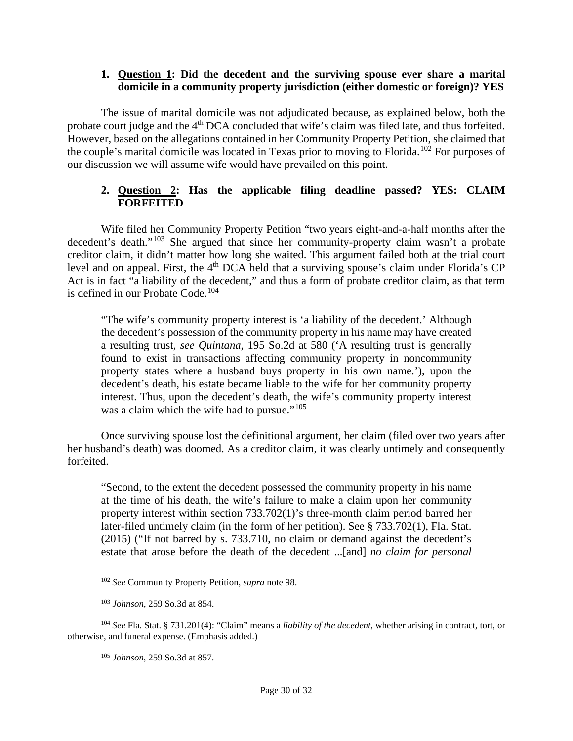### **1. Question 1: Did the decedent and the surviving spouse ever share a marital domicile in a community property jurisdiction (either domestic or foreign)? YES**

The issue of marital domicile was not adjudicated because, as explained below, both the probate court judge and the 4<sup>th</sup> DCA concluded that wife's claim was filed late, and thus forfeited. However, based on the allegations contained in her Community Property Petition, she claimed that the couple's marital domicile was located in Texas prior to moving to Florida.[102](#page-29-0) For purposes of our discussion we will assume wife would have prevailed on this point.

# **2. Question 2: Has the applicable filing deadline passed? YES: CLAIM FORFEITED**

Wife filed her Community Property Petition "two years eight-and-a-half months after the decedent's death."[103](#page-29-1) She argued that since her community-property claim wasn't a probate creditor claim, it didn't matter how long she waited. This argument failed both at the trial court level and on appeal. First, the 4<sup>th</sup> DCA held that a surviving spouse's claim under Florida's CP Act is in fact "a liability of the decedent," and thus a form of probate creditor claim, as that term is defined in our Probate Code.<sup>[104](#page-29-2)</sup>

"The wife's community property interest is 'a liability of the decedent.' Although the decedent's possession of the community property in his name may have created a resulting trust, *see Quintana*, 195 So.2d at 580 ('A resulting trust is generally found to exist in transactions affecting community property in noncommunity property states where a husband buys property in his own name.'), upon the decedent's death, his estate became liable to the wife for her community property interest. Thus, upon the decedent's death, the wife's community property interest was a claim which the wife had to pursue."<sup>[105](#page-29-3)</sup>

Once surviving spouse lost the definitional argument, her claim (filed over two years after her husband's death) was doomed. As a creditor claim, it was clearly untimely and consequently forfeited.

"Second, to the extent the decedent possessed the community property in his name at the time of his death, the wife's failure to make a claim upon her community property interest within section 733.702(1)'s three-month claim period barred her later-filed untimely claim (in the form of her petition). See § 733.702(1), Fla. Stat. (2015) ("If not barred by s. 733.710, no claim or demand against the decedent's estate that arose before the death of the decedent ...[and] *no claim for personal* 

<sup>102</sup> *See* Community Property Petition, *supra* note 98.

<sup>103</sup> *Johnson*, 259 So.3d at 854.

<span id="page-29-3"></span><span id="page-29-2"></span><span id="page-29-1"></span><span id="page-29-0"></span><sup>104</sup> *See* Fla. Stat. § 731.201(4): "Claim" means a *liability of the decedent*, whether arising in contract, tort, or otherwise, and funeral expense. (Emphasis added.)

<sup>105</sup> *Johnson*, 259 So.3d at 857.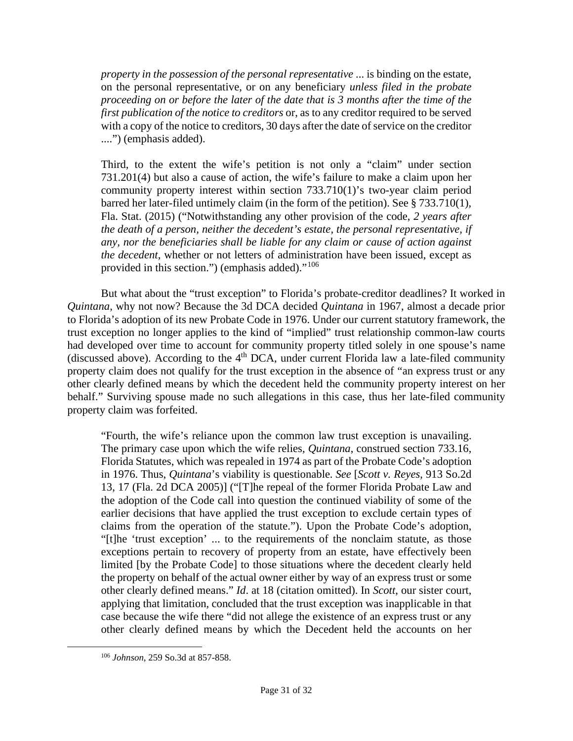*property in the possession of the personal representative* ... is binding on the estate, on the personal representative, or on any beneficiary *unless filed in the probate proceeding on or before the later of the date that is 3 months after the time of the first publication of the notice to creditors* or, as to any creditor required to be served with a copy of the notice to creditors, 30 days after the date of service on the creditor ....") (emphasis added).

Third, to the extent the wife's petition is not only a "claim" under section 731.201(4) but also a cause of action, the wife's failure to make a claim upon her community property interest within section 733.710(1)'s two-year claim period barred her later-filed untimely claim (in the form of the petition). See § 733.710(1), Fla. Stat. (2015) ("Notwithstanding any other provision of the code, *2 years after the death of a person, neither the decedent's estate, the personal representative, if any, nor the beneficiaries shall be liable for any claim or cause of action against the decedent*, whether or not letters of administration have been issued, except as provided in this section.") (emphasis added). $10^{106}$  $10^{106}$  $10^{106}$ 

But what about the "trust exception" to Florida's probate-creditor deadlines? It worked in *Quintana*, why not now? Because the 3d DCA decided *Quintana* in 1967, almost a decade prior to Florida's adoption of its new Probate Code in 1976. Under our current statutory framework, the trust exception no longer applies to the kind of "implied" trust relationship common-law courts had developed over time to account for community property titled solely in one spouse's name (discussed above). According to the 4<sup>th</sup> DCA, under current Florida law a late-filed community property claim does not qualify for the trust exception in the absence of "an express trust or any other clearly defined means by which the decedent held the community property interest on her behalf." Surviving spouse made no such allegations in this case, thus her late-filed community property claim was forfeited.

"Fourth, the wife's reliance upon the common law trust exception is unavailing. The primary case upon which the wife relies, *Quintana*, construed section 733.16, Florida Statutes, which was repealed in 1974 as part of the Probate Code's adoption in 1976. Thus, *Quintana*'s viability is questionable. *See* [*Scott v. Reyes*, 913 So.2d 13, 17 (Fla. 2d DCA 2005)] ("[T]he repeal of the former Florida Probate Law and the adoption of the Code call into question the continued viability of some of the earlier decisions that have applied the trust exception to exclude certain types of claims from the operation of the statute."). Upon the Probate Code's adoption, "[t]he 'trust exception' ... to the requirements of the nonclaim statute, as those exceptions pertain to recovery of property from an estate, have effectively been limited [by the Probate Code] to those situations where the decedent clearly held the property on behalf of the actual owner either by way of an express trust or some other clearly defined means." *Id*. at 18 (citation omitted). In *Scott*, our sister court, applying that limitation, concluded that the trust exception was inapplicable in that case because the wife there "did not allege the existence of an express trust or any other clearly defined means by which the Decedent held the accounts on her

<span id="page-30-0"></span><sup>106</sup> *Johnson*, 259 So.3d at 857-858.